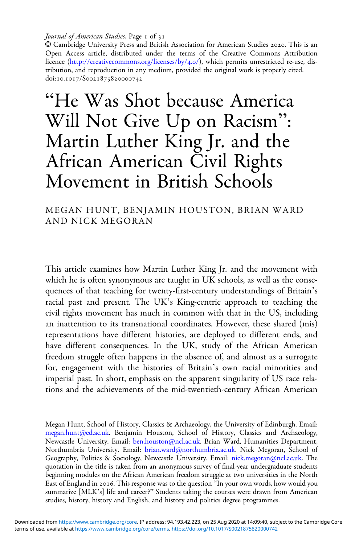Journal of American Studies, Page 1 of 31

© Cambridge University Press and British Association for American Studies . This is an Open Access article, distributed under the terms of the Creative Commons Attribution licence ([http://creativecommons.org/licenses/by/](http://creativecommons.org/licenses/by/4.0/)4.0/), which permits unrestricted re-use, distribution, and reproduction in any medium, provided the original work is properly cited. doi:10.1017/S0021875820000742

"He Was Shot because America Will Not Give Up on Racism" : Martin Luther King Jr. and the African American Civil Rights Movement in British Schools

MEGAN HUNT, BENJAMIN HOUSTON, BRIAN WARD AND NICK MEGORAN

This article examines how Martin Luther King Jr. and the movement with which he is often synonymous are taught in UK schools, as well as the consequences of that teaching for twenty-first-century understandings of Britain's racial past and present. The UK's King-centric approach to teaching the civil rights movement has much in common with that in the US, including an inattention to its transnational coordinates. However, these shared (mis) representations have different histories, are deployed to different ends, and have different consequences. In the UK, study of the African American freedom struggle often happens in the absence of, and almost as a surrogate for, engagement with the histories of Britain's own racial minorities and imperial past. In short, emphasis on the apparent singularity of US race relations and the achievements of the mid-twentieth-century African American

Megan Hunt, School of History, Classics & Archaeology, the University of Edinburgh. Email: [megan.hunt@ed.ac.uk](mailto:megan.hunt@ed.ac.uk). Benjamin Houston, School of History, Classics and Archaeology, Newcastle University. Email: [ben.houston@ncl.ac.uk](mailto:ben.houston@ncl.ac.uk). Brian Ward, Humanities Department, Northumbria University. Email: [brian.ward@northumbria.ac.uk.](mailto:brian.ward@northumbria.ac.uk) Nick Megoran, School of Geography, Politics & Sociology, Newcastle University. Email: [nick.megoran@ncl.ac.uk.](mailto:nick.megoran@ncl.ac.uk) The quotation in the title is taken from an anonymous survey of final-year undergraduate students beginning modules on the African American freedom struggle at two universities in the North East of England in 2016. This response was to the question "In your own words, how would you summarize [MLK's] life and career?" Students taking the courses were drawn from American studies, history, history and English, and history and politics degree programmes.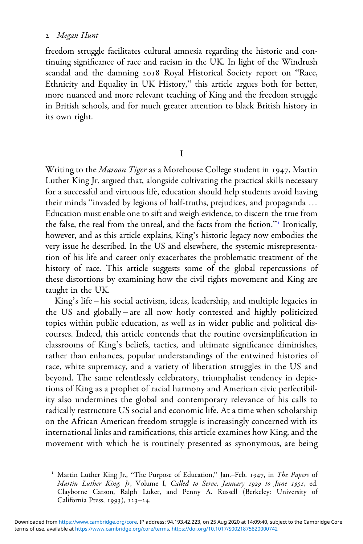#### Megan Hunt

freedom struggle facilitates cultural amnesia regarding the historic and continuing significance of race and racism in the UK. In light of the Windrush scandal and the damning 2018 Royal Historical Society report on "Race, Ethnicity and Equality in UK History," this article argues both for better, more nuanced and more relevant teaching of King and the freedom struggle in British schools, and for much greater attention to black British history in its own right.

I

Writing to the Maroon Tiger as a Morehouse College student in 1947, Martin Luther King Jr. argued that, alongside cultivating the practical skills necessary for a successful and virtuous life, education should help students avoid having their minds "invaded by legions of half-truths, prejudices, and propaganda … Education must enable one to sift and weigh evidence, to discern the true from the false, the real from the unreal, and the facts from the fiction." Ironically, however, and as this article explains, King's historic legacy now embodies the very issue he described. In the US and elsewhere, the systemic misrepresentation of his life and career only exacerbates the problematic treatment of the history of race. This article suggests some of the global repercussions of these distortions by examining how the civil rights movement and King are taught in the UK.

King's life – his social activism, ideas, leadership, and multiple legacies in the US and globally – are all now hotly contested and highly politicized topics within public education, as well as in wider public and political discourses. Indeed, this article contends that the routine oversimplification in classrooms of King's beliefs, tactics, and ultimate significance diminishes, rather than enhances, popular understandings of the entwined histories of race, white supremacy, and a variety of liberation struggles in the US and beyond. The same relentlessly celebratory, triumphalist tendency in depictions of King as a prophet of racial harmony and American civic perfectibility also undermines the global and contemporary relevance of his calls to radically restructure US social and economic life. At a time when scholarship on the African American freedom struggle is increasingly concerned with its international links and ramifications, this article examines how King, and the movement with which he is routinely presented as synonymous, are being

<sup>&</sup>lt;sup>1</sup> Martin Luther King Jr., "The Purpose of Education," Jan.-Feb. 1947, in The Papers of Martin Luther King, Jr, Volume I, Called to Serve, January 1929 to June 1951, ed. Clayborne Carson, Ralph Luker, and Penny A. Russell (Berkeley: University of California Press,  $1993$ ),  $123-24$ .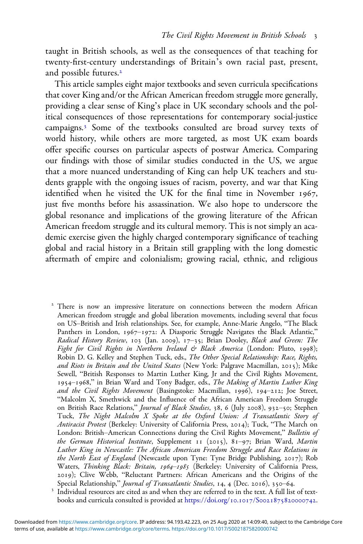taught in British schools, as well as the consequences of that teaching for twenty-first-century understandings of Britain's own racial past, present, and possible futures.

This article samples eight major textbooks and seven curricula specifications that cover King and/or the African American freedom struggle more generally, providing a clear sense of King's place in UK secondary schools and the political consequences of those representations for contemporary social-justice campaigns.<sup>3</sup> Some of the textbooks consulted are broad survey texts of world history, while others are more targeted, as most UK exam boards offer specific courses on particular aspects of postwar America. Comparing our findings with those of similar studies conducted in the US, we argue that a more nuanced understanding of King can help UK teachers and students grapple with the ongoing issues of racism, poverty, and war that King identified when he visited the UK for the final time in November 1967, just five months before his assassination. We also hope to underscore the global resonance and implications of the growing literature of the African American freedom struggle and its cultural memory. This is not simply an academic exercise given the highly charged contemporary significance of teaching global and racial history in a Britain still grappling with the long domestic aftermath of empire and colonialism; growing racial, ethnic, and religious

<sup>2</sup> There is now an impressive literature on connections between the modern African American freedom struggle and global liberation movements, including several that focus on US–British and Irish relationships. See, for example, Anne-Marie Angelo, "The Black Panthers in London, 1967-1972: A Diasporic Struggle Navigates the Black Atlantic," Radical History Review, 103 (Jan. 2009), 17-35; Brian Dooley, Black and Green: The Fight for Civil Rights in Northern Ireland & Black America (London: Pluto, 1998); Robin D. G. Kelley and Stephen Tuck, eds., The Other Special Relationship: Race, Rights, and Riots in Britain and the United States (New York: Palgrave Macmillan, 2015); Mike Sewell, "British Responses to Martin Luther King, Jr and the Civil Rights Movement, 1954-1968," in Brian Ward and Tony Badger, eds., The Making of Martin Luther King and the Civil Rights Movement (Basingstoke: Macmillan, 1996), 194-212; Joe Street, "Malcolm X, Smethwick and the Influence of the African American Freedom Struggle on British Race Relations," Journal of Black Studies, 38, 6 (July 2008), 932-50; Stephen Tuck, The Night Malcolm X Spoke at the Oxford Union: A Transatlantic Story of Antiracist Protest (Berkeley: University of California Press, 2014); Tuck, "The March on London: British–American Connections during the Civil Rights Movement," Bulletin of the German Historical Institute, Supplement  $I_1$  (2015), 81-97; Brian Ward, Martin Luther King in Newcastle: The African American Freedom Struggle and Race Relations in the North East of England (Newcastle upon Tyne: Tyne Bridge Publishing,  $2017$ ); Rob Waters, Thinking Black: Britain, 1964-1985 (Berkeley: University of California Press, 2019); Clive Webb, "Reluctant Partners: African Americans and the Origins of the Special Relationship," *Journal of Transatlantic Studies*, 14, 4 (Dec. 2016), 350–64.

<sup>3</sup> Individual resources are cited as and when they are referred to in the text. A full list of textbooks and curricula consulted is provided at https://doi.org/10.1017/S0021875820000742.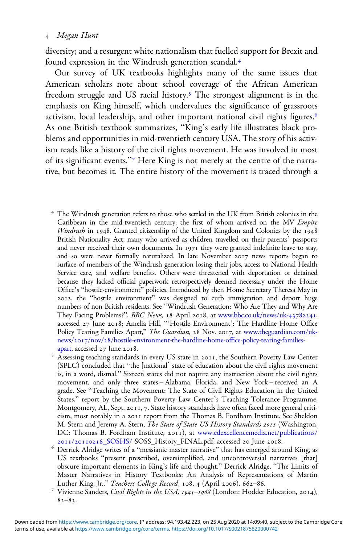diversity; and a resurgent white nationalism that fuelled support for Brexit and found expression in the Windrush generation scandal.

Our survey of UK textbooks highlights many of the same issues that American scholars note about school coverage of the African American freedom struggle and US racial history.<sup>5</sup> The strongest alignment is in the emphasis on King himself, which undervalues the significance of grassroots activism, local leadership, and other important national civil rights figures. As one British textbook summarizes, "King's early life illustrates black problems and opportunities in mid-twentieth century USA. The story of his activism reads like a history of the civil rights movement. He was involved in most of its significant events."<sup>7</sup> Here King is not merely at the centre of the narrative, but becomes it. The entire history of the movement is traced through a

- The Windrush generation refers to those who settled in the UK from British colonies in the Caribbean in the mid-twentieth century, the first of whom arrived on the MV Empire Windrush in 1948. Granted citizenship of the United Kingdom and Colonies by the  $1948$ British Nationality Act, many who arrived as children travelled on their parents' passports and never received their own documents. In  $1971$  they were granted indefinite leave to stay, and so were never formally naturalized. In late November 2017 news reports began to surface of members of the Windrush generation losing their jobs, access to National Health Service care, and welfare benefits. Others were threatened with deportation or detained because they lacked official paperwork retrospectively deemed necessary under the Home Office's "hostile-environment" policies. Introduced by then Home Secretary Theresa May in , the "hostile environment" was designed to curb immigration and deport huge numbers of non-British residents. See "Windrush Generation: Who Are They and Why Are They Facing Problems?", BBC News, 18 April 2018, at [www.bbc.co.uk/news/uk-](https://www.bbc.co.uk/news/uk-43782241)43782241, accessed 27 June 2018; Amelia Hill, "'Hostile Environment': The Hardline Home Office Policy Tearing Families Apart," The Guardian, 28 Nov. 2017, at [www.theguardian.com/uk-](https://www.theguardian.com/uk-news/2017/nov/28/hostile-environment-the-hardline-home-office-policy-tearing-families-apart)news/2017/nov/28[/hostile-environment-the-hardline-home-o](https://www.theguardian.com/uk-news/2017/nov/28/hostile-environment-the-hardline-home-office-policy-tearing-families-apart)ffice-policy-tearing-families-
- [apart,](https://www.theguardian.com/uk-news/2017/nov/28/hostile-environment-the-hardline-home-office-policy-tearing-families-apart) accessed 27 June 2018.<br>Sessing teaching standards in every US state in 2011, the Southern Poverty Law Center (SPLC) concluded that "the [national] state of education about the civil rights movement is, in a word, dismal." Sixteen states did not require any instruction about the civil rights movement, and only three states – Alabama, Florida, and New York – received an A grade. See "Teaching the Movement: The State of Civil Rights Education in the United States," report by the Southern Poverty Law Center's Teaching Tolerance Programme, Montgomery, AL, Sept. 2011, 7. State history standards have often faced more general criticism, most notably in a 2011 report from the Thomas B. Fordham Institute. See Sheldon M. Stern and Jeremy A. Stern, The State of State US History Standards 2011 (Washington, DC: Thomas B. Fordham Institute, 2011), at [www.edexcellencemedia.net/publications/](https://www.edexcellencemedia.net/publications/2011/20110216_SOSHS/)<br>2011/20110216\_SOSHS/ SOSS\_History\_FINAL.pdf, accessed 20 June 2018.
- Derrick Alridge writes of a "messianic master narrative" that has emerged around King, as US textbooks "present prescribed, oversimplified, and uncontroversial narratives [that] obscure important elements in King's life and thought." Derrick Alridge, "The Limits of Master Narratives in History Textbooks: An Analysis of Representations of Martin Luther King, Jr.," *Teachers College Record*, 108, 4 (April 2006), 662–86.<br><sup>7</sup> Vivienne Sanders, *Civil Rights in the USA, 1945–1968* (London: Hodder Education, 2014),
- $82 83.$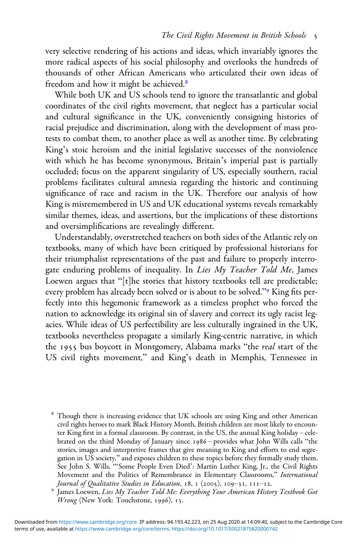very selective rendering of his actions and ideas, which invariably ignores the more radical aspects of his social philosophy and overlooks the hundreds of thousands of other African Americans who articulated their own ideas of freedom and how it might be achieved.

While both UK and US schools tend to ignore the transatlantic and global coordinates of the civil rights movement, that neglect has a particular social and cultural significance in the UK, conveniently consigning histories of racial prejudice and discrimination, along with the development of mass protests to combat them, to another place as well as another time. By celebrating King's stoic heroism and the initial legislative successes of the nonviolence with which he has become synonymous, Britain's imperial past is partially occluded; focus on the apparent singularity of US, especially southern, racial problems facilitates cultural amnesia regarding the historic and continuing significance of race and racism in the UK. Therefore our analysis of how King is misremembered in US and UK educational systems reveals remarkably similar themes, ideas, and assertions, but the implications of these distortions and oversimplifications are revealingly different.

Understandably, overstretched teachers on both sides of the Atlantic rely on textbooks, many of which have been critiqued by professional historians for their triumphalist representations of the past and failure to properly interrogate enduring problems of inequality. In Lies My Teacher Told Me, James Loewen argues that "[t]he stories that history textbooks tell are predictable; every problem has already been solved or is about to be solved."<sup>9</sup> King fits perfectly into this hegemonic framework as a timeless prophet who forced the nation to acknowledge its original sin of slavery and correct its ugly racist legacies. While ideas of US perfectibility are less culturally ingrained in the UK, textbooks nevertheless propagate a similarly King-centric narrative, in which the 1955 bus boycott in Montgomery, Alabama marks "the *real* start of the US civil rights movement," and King's death in Memphis, Tennessee in

Though there is increasing evidence that UK schools are using King and other American civil rights heroes to mark Black History Month, British children are most likely to encounter King first in a formal classroom. By contrast, in the US, the annual King holiday – celebrated on the third Monday of January since 1986 - provides what John Wills calls "the stories, images and interpretive frames that give meaning to King and efforts to end segregation in US society," and exposes children to these topics before they formally study them. See John S. Wills, "'Some People Even Died': Martin Luther King, Jr., the Civil Rights Movement and the Politics of Remembrance in Elementary Classrooms," International Journal of Qualitative Studies in Education, 18, 1 (2005), 109–31, 111–12.

<sup>&</sup>lt;sup>9</sup> James Loewen, Lies My Teacher Told Me: Everything Your American History Textbook Got Wrong (New York: Touchstone, 1996), 13.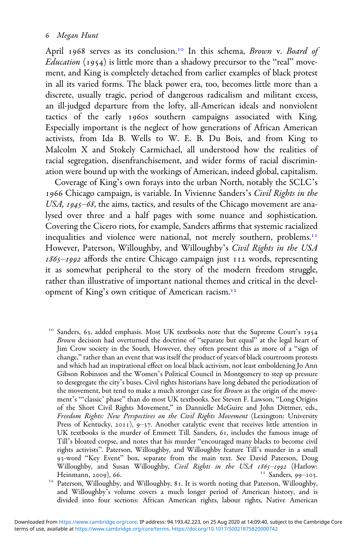# Megan Hunt

April 1968 serves as its conclusion.<sup>10</sup> In this schema, Brown v. Board of *Education* (1954) is little more than a shadowy precursor to the "real" movement, and King is completely detached from earlier examples of black protest in all its varied forms. The black power era, too, becomes little more than a discrete, usually tragic, period of dangerous radicalism and militant excess, an ill-judged departure from the lofty, all-American ideals and nonviolent tactics of the early 1960s southern campaigns associated with King. Especially important is the neglect of how generations of African American activists, from Ida B. Wells to W. E. B. Du Bois, and from King to Malcolm X and Stokely Carmichael, all understood how the realities of racial segregation, disenfranchisement, and wider forms of racial discrimination were bound up with the workings of American, indeed global, capitalism.

Coverage of King's own forays into the urban North, notably the SCLC's 1966 Chicago campaign, is variable. In Vivienne Sanders's Civil Rights in the USA,  $1945 - 68$ , the aims, tactics, and results of the Chicago movement are analysed over three and a half pages with some nuance and sophistication. Covering the Cicero riots, for example, Sanders affirms that systemic racialized inequalities and violence were national, not merely southern, problems.<sup>11</sup> However, Paterson, Willoughby, and Willoughby's Civil Rights in the USA  $1865 - 1992$  affords the entire Chicago campaign just  $112$  words, representing it as somewhat peripheral to the story of the modern freedom struggle, rather than illustrative of important national themes and critical in the development of King's own critique of American racism.

Sanders, 63, added emphasis. Most UK textbooks note that the Supreme Court's 1954 Brown decision had overturned the doctrine of "separate but equal" at the legal heart of Jim Crow society in the South. However, they often present this as more of a "sign of change," rather than an event that was itself the product of years of black courtroom protests and which had an inspirational effect on local black activism, not least emboldening Jo Ann Gibson Robinson and the Women's Political Council in Montgomery to step up pressure to desegregate the city's buses. Civil rights historians have long debated the periodization of the movement, but tend to make a much stronger case for *Brown* as the origin of the movement's "'classic' phase" than do most UK textbooks. See Steven F. Lawson, "Long Origins of the Short Civil Rights Movement," in Dannielle McGuire and John Dittmer, eds., Freedom Rights: New Perspectives on the Civil Rights Movement (Lexington: University Press of Kentucky, 2011), 9-37. Another catalytic event that receives little attention in UK textbooks is the murder of Emmett Till. Sanders, 61, includes the famous image of Till's bloated corpse, and notes that his murder "encouraged many blacks to become civil rights activists". Paterson, Willoughby, and Willoughby feature Till's murder in a small 93-word "Key Event" box, separate from the main text. See David Paterson, Doug Willoughby, and Susan Willoughby, *Civil Rights in the USA 1865–1992* (Harlow: Heinmann, 2009), 66. Heinmann, ), . Sanders, –. Paterson, Willoughby, and Willoughby, . It is worth noting that Paterson, Willoughby,

and Willoughby's volume covers a much longer period of American history, and is divided into four sections: African American rights, labour rights, Native American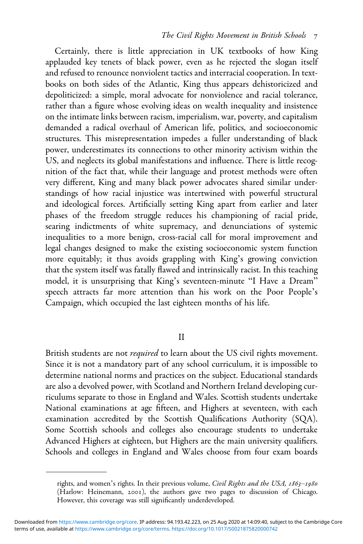Certainly, there is little appreciation in UK textbooks of how King applauded key tenets of black power, even as he rejected the slogan itself and refused to renounce nonviolent tactics and interracial cooperation. In textbooks on both sides of the Atlantic, King thus appears dehistoricized and depoliticized: a simple, moral advocate for nonviolence and racial tolerance, rather than a figure whose evolving ideas on wealth inequality and insistence on the intimate links between racism, imperialism, war, poverty, and capitalism demanded a radical overhaul of American life, politics, and socioeconomic structures. This misrepresentation impedes a fuller understanding of black power, underestimates its connections to other minority activism within the US, and neglects its global manifestations and influence. There is little recognition of the fact that, while their language and protest methods were often very different, King and many black power advocates shared similar understandings of how racial injustice was intertwined with powerful structural and ideological forces. Artificially setting King apart from earlier and later phases of the freedom struggle reduces his championing of racial pride, searing indictments of white supremacy, and denunciations of systemic inequalities to a more benign, cross-racial call for moral improvement and legal changes designed to make the existing socioeconomic system function more equitably; it thus avoids grappling with King's growing conviction that the system itself was fatally flawed and intrinsically racist. In this teaching model, it is unsurprising that King's seventeen-minute "I Have a Dream" speech attracts far more attention than his work on the Poor People's Campaign, which occupied the last eighteen months of his life.

II

British students are not *required* to learn about the US civil rights movement. Since it is not a mandatory part of any school curriculum, it is impossible to determine national norms and practices on the subject. Educational standards are also a devolved power, with Scotland and Northern Ireland developing curriculums separate to those in England and Wales. Scottish students undertake National examinations at age fifteen, and Highers at seventeen, with each examination accredited by the Scottish Qualifications Authority (SQA). Some Scottish schools and colleges also encourage students to undertake Advanced Highers at eighteen, but Highers are the main university qualifiers. Schools and colleges in England and Wales choose from four exam boards

rights, and women's rights. In their previous volume, Civil Rights and the USA, 1863-1980 (Harlow: Heinemann, 2001), the authors gave two pages to discussion of Chicago. However, this coverage was still significantly underdeveloped.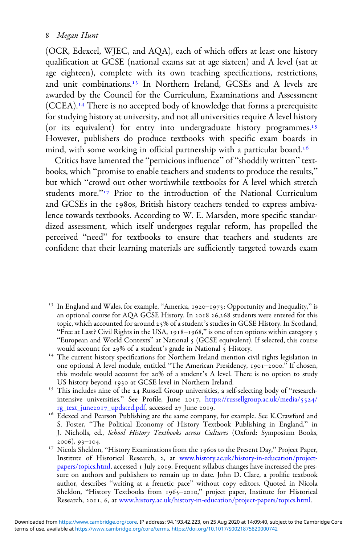### Megan Hunt

(OCR, Edexcel, WJEC, and AQA), each of which offers at least one history qualification at GCSE (national exams sat at age sixteen) and A level (sat at age eighteen), complete with its own teaching specifications, restrictions, and unit combinations.<sup>13</sup> In Northern Ireland, GCSEs and A levels are awarded by the Council for the Curriculum, Examinations and Assessment (CCEA). There is no accepted body of knowledge that forms a prerequisite for studying history at university, and not all universities require A level history (or its equivalent) for entry into undergraduate history programmes.<sup>15</sup> However, publishers do produce textbooks with specific exam boards in mind, with some working in official partnership with a particular board.<sup>16</sup>

Critics have lamented the "pernicious influence" of "shoddily written" textbooks, which "promise to enable teachers and students to produce the results," but which "crowd out other worthwhile textbooks for A level which stretch students more."<sup>17</sup> Prior to the introduction of the National Curriculum and GCSEs in the 1980s, British history teachers tended to express ambivalence towards textbooks. According to W. E. Marsden, more specific standardized assessment, which itself undergoes regular reform, has propelled the perceived "need" for textbooks to ensure that teachers and students are confident that their learning materials are sufficiently targeted towards exam

- <sup>13</sup> In England and Wales, for example, "America, 1920-1973: Opportunity and Inequality," is an optional course for AQA GCSE History. In 2018 26,268 students were entered for this topic, which accounted for around 25% of a student's studies in GCSE History. In Scotland, "Free at Last? Civil Rights in the USA, 1918-1968," is one of ten options within category 3 "European and World Contexts" at National 5 (GCSE equivalent). If selected, this course would account for 29% of a student's grade in National 5 History.
- $14$  The current history specifications for Northern Ireland mention civil rights legislation in one optional A level module, entitled "The American Presidency, 1901-2000." If chosen, this module would account for 20% of a student's A level. There is no option to study
- US history beyond 1930 at GCSE level in Northern Ireland.<br><sup>15</sup> This includes nine of the 24 Russell Group universities, a self-selecting body of "researchintensive universities." See Profile, June 2017, [https://russellgroup.ac.uk/media/](https://russellgroup.ac.uk/media/5524/rg_text_june2017_updated.pdf)5524/ rg\_text\_june2017[\\_updated.pdf,](https://russellgroup.ac.uk/media/5524/rg_text_june2017_updated.pdf) accessed 27 June 2019.<br><sup>16</sup> Edexcel and Pearson Publishing are the same company, for example. See K.Crawford and
- S. Foster, "The Political Economy of History Textbook Publishing in England," in J. Nicholls, ed., *School History Textbooks across Cultures* (Oxford: Symposium Books, 2006), 93-104.
- <sup>17</sup> Nicola Sheldon, "History Examinations from the 1960s to the Present Day," Project Paper, Institute of Historical Research, 2, at [www.history.ac.uk/history-in-education/project](https://www.history.ac.uk/history-in-education/project-papers/topics.html)[papers/topics.html](https://www.history.ac.uk/history-in-education/project-papers/topics.html), accessed 1 July 2019. Frequent syllabus changes have increased the pressure on authors and publishers to remain up to date. John D. Clare, a prolific textbook author, describes "writing at a frenetic pace" without copy editors. Quoted in Nicola Sheldon, "History Textbooks from 1965-2010," project paper, Institute for Historical Research, 2011, 6, at [www.history.ac.uk/history-in-education/project-papers/topics.html.](https://www.history.ac.uk/history-in-education/project-papers/topics.html)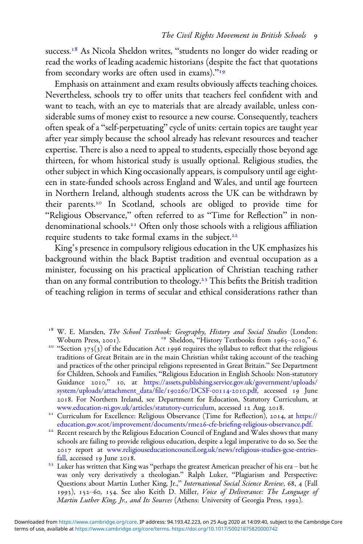success.<sup>18</sup> As Nicola Sheldon writes, "students no longer do wider reading or read the works of leading academic historians (despite the fact that quotations from secondary works are often used in exams)."<sup>19</sup>

Emphasis on attainment and exam results obviously affects teaching choices. Nevertheless, schools try to offer units that teachers feel confident with and want to teach, with an eye to materials that are already available, unless considerable sums of money exist to resource a new course. Consequently, teachers often speak of a "self-perpetuating" cycle of units: certain topics are taught year after year simply because the school already has relevant resources and teacher expertise. There is also a need to appeal to students, especially those beyond age thirteen, for whom historical study is usually optional. Religious studies, the other subject in which King occasionally appears, is compulsory until age eighteen in state-funded schools across England and Wales, and until age fourteen in Northern Ireland, although students across the UK can be withdrawn by their parents.<sup>20</sup> In Scotland, schools are obliged to provide time for "Religious Observance," often referred to as "Time for Reflection" in nondenominational schools.<sup>21</sup> Often only those schools with a religious affiliation require students to take formal exams in the subject.

King's presence in compulsory religious education in the UK emphasizes his background within the black Baptist tradition and eventual occupation as a minister, focussing on his practical application of Christian teaching rather than on any formal contribution to theology.<sup>23</sup> This befits the British tradition of teaching religion in terms of secular and ethical considerations rather than

<sup>20</sup> "Section 375(3) of the Education Act 1996 requires the syllabus to reflect that the religious traditions of Great Britain are in the main Christian whilst taking account of the teaching and practices of the other principal religions represented in Great Britain." See Department for Children, Schools and Families, "Religious Education in English Schools: Non-statutory Guidance 2010," 10, at [https://assets.publishing.service.gov.uk/government/uploads/](https://assets.publishing.service.gov.uk/government/uploads/system/uploads/attachment_data/file/190260/DCSF-00114-2010.pdf) [system/uploads/attachment\\_data/](https://assets.publishing.service.gov.uk/government/uploads/system/uploads/attachment_data/file/190260/DCSF-00114-2010.pdf)file/190260/DCSF-00114-2010.pdf, accessed 19 June . For Northern Ireland, see Department for Education, Statutory Curriculum, at

[www.education-ni.gov.uk/articles/statutory-curriculum](https://www.education-ni.gov.uk/articles/statutory-curriculum), accessed 12 Aug. 2018.<br><sup>21</sup> Curriculum for Excellence: Religious Observance (Time for Reflection), 2014, at [https://](https://education.gov.scot/improvement/documents/rme26-cfe-briefing-religious-observance.pdf)<br>education.gov.scot/improvement/documents/rme26-cfe

<sup>22</sup> Recent research by the Religious Education Council of England and Wales shows that many schools are failing to provide religious education, despite a legal imperative to do so. See the report at [www.religiouseducationcouncil.org.uk/news/religious-studies-gcse-entries](https://www.religiouseducationcouncil.org.uk/news/religious-studies-gcse-entries-fall)[fall](https://www.religiouseducationcouncil.org.uk/news/religious-studies-gcse-entries-fall), accessed 19 June 2018.<br><sup>23</sup> Luker has written that King was "perhaps the greatest American preacher of his era – but he

was only very derivatively a theologian." Ralph Luker, "Plagiarism and Perspective: Questions about Martin Luther King, Jr.," International Social Science Review, 68, 4 (Fall 1993), 152-60, 154. See also Keith D. Miller, Voice of Deliverance: The Language of Martin Luther King, Jr., and Its Sources (Athens: University of Georgia Press, 1992).

<sup>&</sup>lt;sup>18</sup> W. E. Marsden, *The School Textbook: Geography, History and Social Studies* (London: Woburn Press, 2001). <sup>19</sup> Sheldon, "History Textbooks from 1965–2010," 6.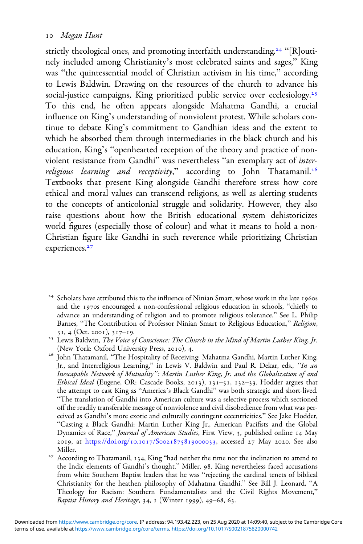strictly theological ones, and promoting interfaith understanding.<sup>24</sup> "[R]outinely included among Christianity's most celebrated saints and sages," King was "the quintessential model of Christian activism in his time," according to Lewis Baldwin. Drawing on the resources of the church to advance his social-justice campaigns, King prioritized public service over ecclesiology.<sup>25</sup> To this end, he often appears alongside Mahatma Gandhi, a crucial influence on King's understanding of nonviolent protest. While scholars continue to debate King's commitment to Gandhian ideas and the extent to which he absorbed them through intermediaries in the black church and his education, King's "openhearted reception of the theory and practice of nonviolent resistance from Gandhi" was nevertheless "an exemplary act of interreligious learning and receptivity," according to John Thatamanil.<sup>26</sup> Textbooks that present King alongside Gandhi therefore stress how core ethical and moral values can transcend religions, as well as alerting students to the concepts of anticolonial struggle and solidarity. However, they also raise questions about how the British educational system dehistoricizes world figures (especially those of colour) and what it means to hold a non-Christian figure like Gandhi in such reverence while prioritizing Christian experiences.<sup>27</sup>

 $24$  Scholars have attributed this to the influence of Ninian Smart, whose work in the late 1960s and the 1970s encouraged a non-confessional religious education in schools, "chiefly to advance an understanding of religion and to promote religious tolerance." See L. Philip Barnes, "The Contribution of Professor Ninian Smart to Religious Education," Religion,

<sup>31, 4 (</sup>Oct. 2001), 317–19.<br><sup>25</sup> Lewis Baldwin, *The Voice of Conscience: The Church in the Mind of Martin Luther King, Jr.*<br>(New York: Oxford University Press, 2010), 4.

 $^{26}$ John Thatamanil, "The Hospitality of Receiving: Mahatma Gandhi, Martin Luther King, Jr., and Interreligious Learning," in Lewis V. Baldwin and Paul R. Dekar, eds., "In an Inescapable Network of Mutuality": Martin Luther King, Jr. and the Globalization of and Ethical Ideal (Eugene, OR: Cascade Books, 2013), 131-51, 132-33. Hodder argues that the attempt to cast King as "America's Black Gandhi" was both strategic and short-lived. "The translation of Gandhi into American culture was a selective process which sectioned off the readily transferable message of nonviolence and civil disobedience from what was perceived as Gandhi's more exotic and culturally contingent eccentricities." See Jake Hodder, "Casting a Black Gandhi: Martin Luther King Jr., American Pacifists and the Global Dynamics of Race," Journal of American Studies, First View, 3, published online 14 May 2019, at [https:/](https://doi.org/10.1017/S0021875819000033)/doi.org/10.1017/S0021875819000033, accessed 27 May 2020. See also

Miller. Miller. Miller. Thatamanil, 134, King "had neither the time nor the inclination to attend to  $^{27}$ the Indic elements of Gandhi's thought." Miller, 98. King nevertheless faced accusations from white Southern Baptist leaders that he was "rejecting the cardinal tenets of biblical Christianity for the heathen philosophy of Mahatma Gandhi." See Bill J. Leonard, "A Theology for Racism: Southern Fundamentalists and the Civil Rights Movement," Baptist History and Heritage, 34,  $\scriptstyle{1}$  (Winter 1999), 49–68, 63.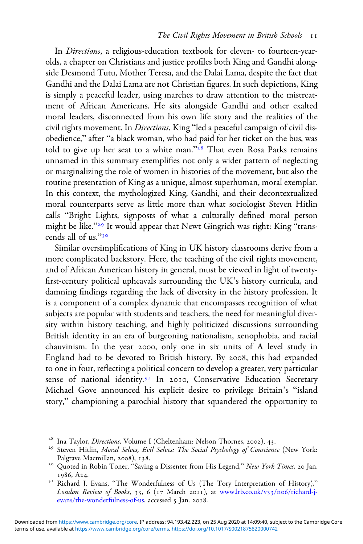In Directions, a religious-education textbook for eleven- to fourteen-yearolds, a chapter on Christians and justice profiles both King and Gandhi alongside Desmond Tutu, Mother Teresa, and the Dalai Lama, despite the fact that Gandhi and the Dalai Lama are not Christian figures. In such depictions, King is simply a peaceful leader, using marches to draw attention to the mistreatment of African Americans. He sits alongside Gandhi and other exalted moral leaders, disconnected from his own life story and the realities of the civil rights movement. In *Directions*, King "led a peaceful campaign of civil disobedience," after "a black woman, who had paid for her ticket on the bus, was told to give up her seat to a white man." $28$  That even Rosa Parks remains unnamed in this summary exemplifies not only a wider pattern of neglecting or marginalizing the role of women in histories of the movement, but also the routine presentation of King as a unique, almost superhuman, moral exemplar. In this context, the mythologized King, Gandhi, and their decontextualized moral counterparts serve as little more than what sociologist Steven Hitlin calls "Bright Lights, signposts of what a culturally defined moral person might be like."<sup>29</sup> It would appear that Newt Gingrich was right: King "transcends all of us."

Similar oversimplifications of King in UK history classrooms derive from a more complicated backstory. Here, the teaching of the civil rights movement, and of African American history in general, must be viewed in light of twentyfirst-century political upheavals surrounding the UK's history curricula, and damning findings regarding the lack of diversity in the history profession. It is a component of a complex dynamic that encompasses recognition of what subjects are popular with students and teachers, the need for meaningful diversity within history teaching, and highly politicized discussions surrounding British identity in an era of burgeoning nationalism, xenophobia, and racial chauvinism. In the year 2000, only one in six units of A level study in England had to be devoted to British history. By 2008, this had expanded to one in four, reflecting a political concern to develop a greater, very particular sense of national identity.<sup>31</sup> In 2010, Conservative Education Secretary Michael Gove announced his explicit desire to privilege Britain's "island story," championing a parochial history that squandered the opportunity to

<sup>&</sup>lt;sup>28</sup> Ina Taylor, *Directions*, Volume I (Cheltenham: Nelson Thornes, 2002), 43.<br><sup>29</sup> Steven Hitlin, *Moral Selves, Evil Selves: The Social Psychology of Conscience* (New York: Palgrave Macmillan, 2008), 138.<br><sup>30</sup> Quoted in Robin Toner, "Saving a Dissenter from His Legend," *New York Times*, 20 Jan.

 $1986$ , A24.<br><sup>31</sup> Richard J. Evans, "The Wonderfulness of Us (The Tory Interpretation of History),"

London Review of Books, 33, 6 (17 March 2011), at [www.lrb.co.uk/v](https://www.lrb.co.uk/v33/n06/richard-j-evans/the-wonderfulness-of-us)33/no6/richard-j[evans/the-wonderfulness-of-us](https://www.lrb.co.uk/v33/n06/richard-j-evans/the-wonderfulness-of-us), accessed 5 Jan. 2018.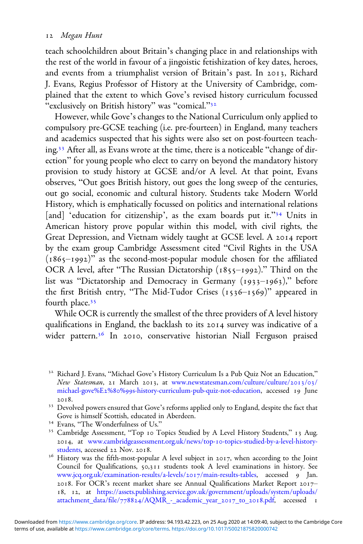#### 12 Megan Hunt

teach schoolchildren about Britain's changing place in and relationships with the rest of the world in favour of a jingoistic fetishization of key dates, heroes, and events from a triumphalist version of Britain's past. In 2013, Richard J. Evans, Regius Professor of History at the University of Cambridge, complained that the extent to which Gove's revised history curriculum focussed "exclusively on British history" was "comical."<sup>32</sup>

However, while Gove's changes to the National Curriculum only applied to compulsory pre-GCSE teaching (i.e. pre-fourteen) in England, many teachers and academics suspected that his sights were also set on post-fourteen teaching.<sup>33</sup> After all, as Evans wrote at the time, there is a noticeable "change of direction" for young people who elect to carry on beyond the mandatory history provision to study history at GCSE and/or A level. At that point, Evans observes, "Out goes British history, out goes the long sweep of the centuries, out go social, economic and cultural history. Students take Modern World History, which is emphatically focussed on politics and international relations [and] 'education for citizenship', as the exam boards put it."<sup>34</sup> Units in American history prove popular within this model, with civil rights, the Great Depression, and Vietnam widely taught at GCSE level. A 2014 report by the exam group Cambridge Assessment cited "Civil Rights in the USA  $(1865-1992)$ " as the second-most-popular module chosen for the affiliated OCR A level, after "The Russian Dictatorship  $(1855-1992)$ ." Third on the list was "Dictatorship and Democracy in Germany  $(1933-1963)$ ," before the first British entry, "The Mid-Tudor Crises  $(1536 - 1569)$ " appeared in fourth place.

While OCR is currently the smallest of the three providers of A level history qualifications in England, the backlash to its 2014 survey was indicative of a wider pattern.<sup>36</sup> In 2010, conservative historian Niall Ferguson praised

<sup>&</sup>lt;sup>32</sup> Richard J. Evans, "Michael Gove's History Curriculum Is a Pub Quiz Not an Education," New Statesman, 21 March 2013, at [www.newstatesman.com/culture/culture/](https://www.newstatesman.com/culture/culture/2013/03/michael-gove%E2%80%99s-history-curriculum-pub-quiz-not-education)2013/03/ michael-gove%E2%80%99[s-history-curriculum-pub-quiz-not-education](https://www.newstatesman.com/culture/culture/2013/03/michael-gove%E2%80%99s-history-curriculum-pub-quiz-not-education), accessed 19 June

<sup>2018.&</sup>lt;br><sup>33</sup> Devolved powers ensured that Gove's reforms applied only to England, despite the fact that<br>Gove is himself Scottish, educated in Aberdeen.

<sup>&</sup>lt;sup>34</sup> Evans, "The Wonderfulness of Us."<br><sup>35</sup> Cambridge Assessment, "Top 10 Topics Studied by A Level History Students," 13 Aug. 2014, at [www.cambridgeassessment.org.uk/news/top-](https://www.cambridgeassessment.org.uk/news/top-10-topics-studied-by-a-level-history-students)10-topics-studied-by-a-level-history-students, accessed 22 Nov. 2018.

<sup>&</sup>lt;sup>36</sup> History was the fifth-most-popular A level subject in 2017, when according to the Joint Council for Qualifications, 50,311 students took A level examinations in history. See [www.jcq.org.uk/examination-results/a-levels/](https://www.jcq.org.uk/examination-results/a-levels/2017/main-results-tables)2017/main-results-tables, accessed 9 Jan. 2018. For OCR's recent market share see Annual Qualifications Market Report 201718, 12, at [https://assets.publishing.service.gov.uk/government/uploads/system/uploads/](https://assets.publishing.service.gov.uk/government/uploads/system/uploads/attachment_data/file/778824/AQMR_-_academic_year_2017_to_2018.pdf) attachment\_data/file/778824[/AQMR\\_-\\_academic\\_year\\_](https://assets.publishing.service.gov.uk/government/uploads/system/uploads/attachment_data/file/778824/AQMR_-_academic_year_2017_to_2018.pdf)2017\_to\_2018.pdf, accessed 1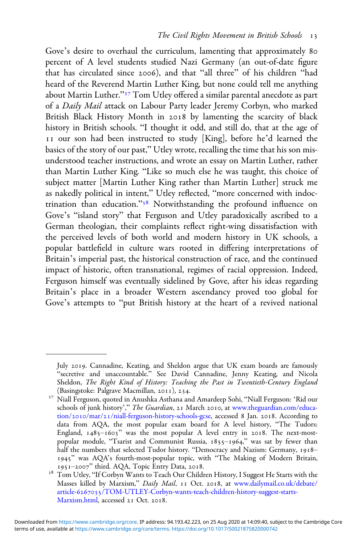Gove's desire to overhaul the curriculum, lamenting that approximately 80 percent of A level students studied Nazi Germany (an out-of-date figure that has circulated since 2006), and that "all three" of his children "had heard of the Reverend Martin Luther King, but none could tell me anything about Martin Luther."<sup>37</sup> Tom Utley offered a similar parental anecdote as part of a Daily Mail attack on Labour Party leader Jeremy Corbyn, who marked British Black History Month in 2018 by lamenting the scarcity of black history in British schools. "I thought it odd, and still do, that at the age of II our son had been instructed to study [King], before he'd learned the basics of the story of our past," Utley wrote, recalling the time that his son misunderstood teacher instructions, and wrote an essay on Martin Luther, rather than Martin Luther King. "Like so much else he was taught, this choice of subject matter [Martin Luther King rather than Martin Luther] struck me as nakedly political in intent," Utley reflected, "more concerned with indoctrination than education."<sup>38</sup> Notwithstanding the profound influence on Gove's "island story" that Ferguson and Utley paradoxically ascribed to a German theologian, their complaints reflect right-wing dissatisfaction with the perceived levels of both world and modern history in UK schools, a popular battlefield in culture wars rooted in differing interpretations of Britain's imperial past, the historical construction of race, and the continued impact of historic, often transnational, regimes of racial oppression. Indeed, Ferguson himself was eventually sidelined by Gove, after his ideas regarding Britain's place in a broader Western ascendancy proved too global for Gove's attempts to "put British history at the heart of a revived national

July 2019. Cannadine, Keating, and Sheldon argue that UK exam boards are famously "secretive and unaccountable." See David Cannadine, Jenny Keating, and Nicola Sheldon, The Right Kind of History: Teaching the Past in Twentieth-Century England (Basingstoke: Palgrave Macmillan, 2011), 234.

<sup>&</sup>lt;sup>37</sup> Niall Ferguson, quoted in Anushka Asthana and Amardeep Sohi, "Niall Ferguson: 'Rid our schools of junk history'," The Guardian, 21 March 2010, at [www.theguardian.com/educa-](https://www.theguardian.com/education/2010/mar/21/niall-ferguson-history-schools-gcse)tion/2010/mar/21[/niall-ferguson-history-schools-gcse](https://www.theguardian.com/education/2010/mar/21/niall-ferguson-history-schools-gcse), accessed 8 Jan. 2018. According to data from AQA, the most popular exam board for A level history, "The Tudors: England,  $1485 - 1603$ " was the most popular A level entry in 2018. The next-mostpopular module, "Tsarist and Communist Russia, 1855-1964," was sat by fewer than half the numbers that selected Tudor history. "Democracy and Nazism: Germany, 1918-1945" was AQA's fourth-most-popular topic, with "The Making of Modern Britain, 1951–2007" third. AQA, Topic Entry Data, 2018.

 $^{38}$ Tom Utley, "If Corbyn Wants to Teach Our Children History, I Suggest He Starts with the Masses killed by Marxism," Daily Mail, 11 Oct. 2018, at [www.dailymail.co.uk/debate/](https://www.dailymail.co.uk/debate/article-6267035/TOM-UTLEY-Corbyn-wants-teach-children-history-suggest-starts-Marxism.html) article-6267035[/TOM-UTLEY-Corbyn-wants-teach-children-history-suggest-starts-](https://www.dailymail.co.uk/debate/article-6267035/TOM-UTLEY-Corbyn-wants-teach-children-history-suggest-starts-Marxism.html)[Marxism.html](https://www.dailymail.co.uk/debate/article-6267035/TOM-UTLEY-Corbyn-wants-teach-children-history-suggest-starts-Marxism.html), accessed 21 Oct. 2018.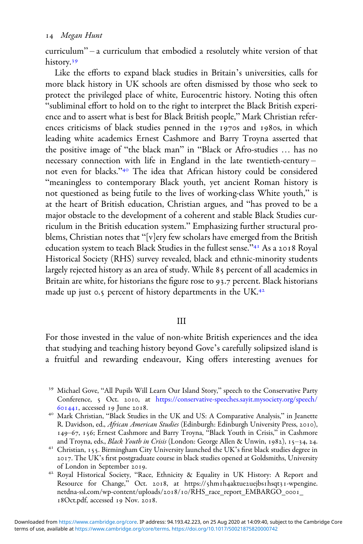curriculum" – a curriculum that embodied a resolutely white version of that history.<sup>39</sup>

Like the efforts to expand black studies in Britain's universities, calls for more black history in UK schools are often dismissed by those who seek to protect the privileged place of white, Eurocentric history. Noting this often "subliminal effort to hold on to the right to interpret the Black British experience and to assert what is best for Black British people," Mark Christian references criticisms of black studies penned in the 1970s and 1980s, in which leading white academics Ernest Cashmore and Barry Troyna asserted that the positive image of "the black man" in "Black or Afro-studies … has no necessary connection with life in England in the late twentieth-century – not even for blacks."<sup>40</sup> The idea that African history could be considered "meaningless to contemporary Black youth, yet ancient Roman history is not questioned as being futile to the lives of working-class White youth," is at the heart of British education, Christian argues, and "has proved to be a major obstacle to the development of a coherent and stable Black Studies curriculum in the British education system." Emphasizing further structural problems, Christian notes that "[v]ery few scholars have emerged from the British education system to teach Black Studies in the fullest sense."<sup>41</sup> As a 2018 Royal Historical Society (RHS) survey revealed, black and ethnic-minority students largely rejected history as an area of study. While 85 percent of all academics in Britain are white, for historians the figure rose to 93.7 percent. Black historians made up just 0.5 percent of history departments in the UK.<sup>42</sup>

### III

For those invested in the value of non-white British experiences and the idea that studying and teaching history beyond Gove's carefully solipsized island is a fruitful and rewarding endeavour, King offers interesting avenues for

- <sup>39</sup> Michael Gove, "All Pupils Will Learn Our Island Story," speech to the Conservative Party Conference, 5 Oct. 2010, at [https://conservative-speeches.sayit.mysociety.org/speech/](https://conservative-speeches.sayit.mysociety.org/speech/601441) 601441, accessed 19 June 2018.<br><sup>40</sup> Mark Christian, "Black Studies in the UK and US: A Comparative Analysis," in Jeanette
- R. Davidson, ed., African American Studies (Edinburgh: Edinburgh University Press, 2010), 149–67, 156; Ernest Cashmore and Barry Troyna, "Black Youth in Crisis," in Cashmore and Troyna, eds., *Black Youth in Crisis* (London: George Allen & Unwin, 1982), 15–34, 24.
- $41$  Christian, 155. Birmingham City University launched the UK's first black studies degree in . The UK's first postgraduate course in black studies opened at Goldsmiths, University
- <sup>42</sup> Royal Historical Society, "Race, Ethnicity & Equality in UK History: A Report and Resource for Change," Oct. 2018, at https://5hm1h4aktue2uejbs1hsqt31-wpengine. netdna-ssl.com/wp-content/uploads/2018/10/RHS\_race\_report\_EMBARGO\_0001\_ 18Oct.pdf, accessed 19 Nov. 2018.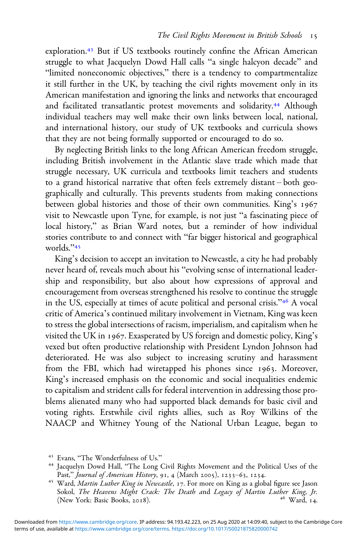exploration.<sup>43</sup> But if US textbooks routinely confine the African American struggle to what Jacquelyn Dowd Hall calls "a single halcyon decade" and "limited noneconomic objectives," there is a tendency to compartmentalize it still further in the UK, by teaching the civil rights movement only in its American manifestation and ignoring the links and networks that encouraged and facilitated transatlantic protest movements and solidarity.<sup>44</sup> Although individual teachers may well make their own links between local, national, and international history, our study of UK textbooks and curricula shows that they are not being formally supported or encouraged to do so.

By neglecting British links to the long African American freedom struggle, including British involvement in the Atlantic slave trade which made that struggle necessary, UK curricula and textbooks limit teachers and students to a grand historical narrative that often feels extremely distant – both geographically and culturally. This prevents students from making connections between global histories and those of their own communities. King's 1967 visit to Newcastle upon Tyne, for example, is not just "a fascinating piece of local history," as Brian Ward notes, but a reminder of how individual stories contribute to and connect with "far bigger historical and geographical worlds."<sup>45</sup>

King's decision to accept an invitation to Newcastle, a city he had probably never heard of, reveals much about his "evolving sense of international leadership and responsibility, but also about how expressions of approval and encouragement from overseas strengthened his resolve to continue the struggle in the US, especially at times of acute political and personal crisis."<sup>46</sup> A vocal critic of America's continued military involvement in Vietnam, King was keen to stress the global intersections of racism, imperialism, and capitalism when he visited the UK in 1967. Exasperated by US foreign and domestic policy, King's vexed but often productive relationship with President Lyndon Johnson had deteriorated. He was also subject to increasing scrutiny and harassment from the FBI, which had wiretapped his phones since 1963. Moreover, King's increased emphasis on the economic and social inequalities endemic to capitalism and strident calls for federal intervention in addressing those problems alienated many who had supported black demands for basic civil and voting rights. Erstwhile civil rights allies, such as Roy Wilkins of the NAACP and Whitney Young of the National Urban League, began to

<sup>&</sup>lt;sup>43</sup> Evans, "The Wonderfulness of Us."<br><sup>44</sup> Jacquelyn Dowd Hall, "The Long Civil Rights Movement and the Political Uses of the<br>Past," *Journal of American History*, 91, 4 (March 2005), 1233–63, 1234.

<sup>&</sup>lt;sup>45</sup> Ward, Martin Luther King in Newcastle, 17. For more on King as a global figure see Jason Sokol, The Heavens Might Crack: The Death and Legacy of Martin Luther King, Jr. (New York: Basic Books, 2018). (New York: Basic Books, 2018).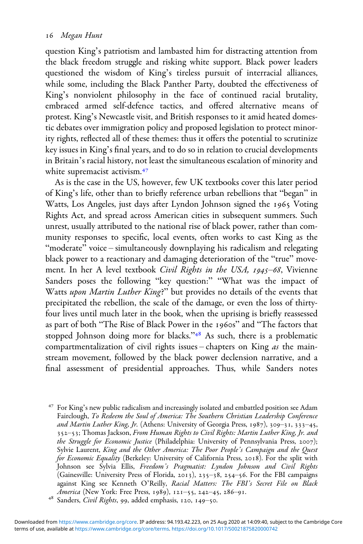question King's patriotism and lambasted him for distracting attention from the black freedom struggle and risking white support. Black power leaders questioned the wisdom of King's tireless pursuit of interracial alliances, while some, including the Black Panther Party, doubted the effectiveness of King's nonviolent philosophy in the face of continued racial brutality, embraced armed self-defence tactics, and offered alternative means of protest. King's Newcastle visit, and British responses to it amid heated domestic debates over immigration policy and proposed legislation to protect minority rights, reflected all of these themes: thus it offers the potential to scrutinize key issues in King's final years, and to do so in relation to crucial developments in Britain's racial history, not least the simultaneous escalation of minority and white supremacist activism.<sup>47</sup>

As is the case in the US, however, few UK textbooks cover this later period of King's life, other than to briefly reference urban rebellions that "began" in Watts, Los Angeles, just days after Lyndon Johnson signed the 1965 Voting Rights Act, and spread across American cities in subsequent summers. Such unrest, usually attributed to the national rise of black power, rather than community responses to specific, local events, often works to cast King as the "moderate" voice – simultaneously downplaying his radicalism and relegating black power to a reactionary and damaging deterioration of the "true" movement. In her A level textbook Civil Rights in the USA, 1945-68, Vivienne Sanders poses the following "key question:" "What was the impact of Watts upon Martin Luther King?" but provides no details of the events that precipitated the rebellion, the scale of the damage, or even the loss of thirtyfour lives until much later in the book, when the uprising is briefly reassessed as part of both "The Rise of Black Power in the 1960s" and "The factors that stopped Johnson doing more for blacks."<sup>48</sup> As such, there is a problematic compartmentalization of civil rights issues – chapters on King as the mainstream movement, followed by the black power declension narrative, and a final assessment of presidential approaches. Thus, while Sanders notes

 For King's new public radicalism and increasingly isolated and embattled position see Adam Fairclough, To Redeem the Soul of America: The Southern Christian Leadership Conference and Martin Luther King, Jr. (Athens: University of Georgia Press, 1987), 309-31, 333-45, 352-53; Thomas Jackson, From Human Rights to Civil Rights: Martin Luther King, Jr. and the Struggle for Economic Justice (Philadelphia: University of Pennsylvania Press, 2007); Sylvie Laurent, King and the Other America: The Poor People's Campaign and the Quest for Economic Equality (Berkeley: University of California Press, 2018). For the split with Johnson see Sylvia Ellis, Freedom's Pragmatist: Lyndon Johnson and Civil Rights (Gainesville: University Press of Florida, 2013), 235-38, 254-56. For the FBI campaigns against King see Kenneth O'Reilly, *Racial Matters: The FBI's Secret File on Black America* (New York: Free Press, 1989), 121–55, 242–45, 286–91.

<sup>&</sup>lt;sup>48</sup> Sanders, *Civil Rights*, 99, added emphasis, 120, 149-50.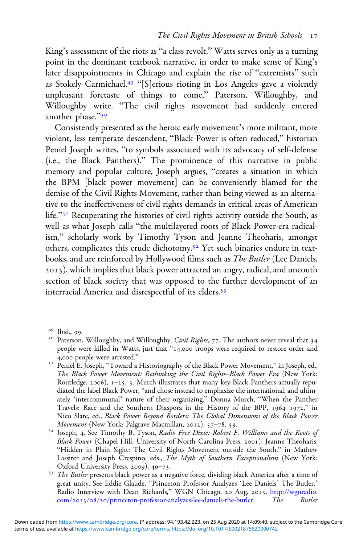King's assessment of the riots as "a class revolt," Watts serves only as a turning point in the dominant textbook narrative, in order to make sense of King's later disappointments in Chicago and explain the rise of "extremists" such as Stokely Carmichael.<sup>49</sup> "[S]erious rioting in Los Angeles gave a violently unpleasant foretaste of things to come," Paterson, Willoughby, and Willoughby write. "The civil rights movement had suddenly entered another phase."50

Consistently presented as the heroic early movement's more militant, more violent, less temperate descendent, "Black Power is often reduced," historian Peniel Joseph writes, "to symbols associated with its advocacy of self-defense (i.e., the Black Panthers)." The prominence of this narrative in public memory and popular culture, Joseph argues, "creates a situation in which the BPM [black power movement] can be conveniently blamed for the demise of the Civil Rights Movement, rather than being viewed as an alternative to the ineffectiveness of civil rights demands in critical areas of American life."<sup>51</sup> Recuperating the histories of civil rights activity outside the South, as well as what Joseph calls "the multilayered roots of Black Power-era radicalism," scholarly work by Timothy Tyson and Jeanne Theoharis, amongst others, complicates this crude dichotomy.<sup>52</sup> Yet such binaries endure in textbooks, and are reinforced by Hollywood films such as The Butler (Lee Daniels, ), which implies that black power attracted an angry, radical, and uncouth section of black society that was opposed to the further development of an interracial America and disrespectful of its elders.

<sup>&</sup>lt;sup>49</sup> Ibid., 99.<br><sup>50</sup> Paterson, Willoughby, and Willoughby, *Civil Rights*, 77. The authors never reveal that 34 people were killed in Watts, just that "14,000 troops were required to restore order and 4,000 people were arrested."

<sup>&</sup>lt;sup>51</sup> Peniel E. Joseph, "Toward a Historiography of the Black Power Movement," in Joseph, ed., The Black Power Movement: Rethinking the Civil Rights–Black Power Era (New York: Routledge, 2006),  $1-25$ , 3. Murch illustrates that many key Black Panthers actually repudiated the label Black Power, "and chose instead to emphasize the international, and ultimately 'intercommunal' nature of their organizing." Donna Murch, "When the Panther Travels: Race and the Southern Diaspora in the History of the BPP,  $1964-1972$ ," in Nico Slate, ed., *Black Power Beyond Borders: The Global Dimensions of the Black Power*<br>*Movement* (New York: Palgrave Macmillan, 2012), 57–78, 59.

 $52$  Joseph, 4. See Timothy B. Tyson, Radio Free Dixie: Robert F. Williams and the Roots of Black Power (Chapel Hill: University of North Carolina Press, 2001); Jeanne Theoharis, "Hidden in Plain Sight: The Civil Rights Movement outside the South," in Mathew Lassiter and Joseph Crespino, eds., *The Myth of Southern Exceptionalism* (New York: Oxford University Press, 2009), 49–73.

<sup>&</sup>lt;sup>53</sup> The Butler presents black power as a negative force, dividing black America after a time of great unity. See Eddie Glaude, "Princeton Professor Analyzes 'Lee Daniels' The Butler.' Radio Interview with Dean Richards," WGN Chicago, 20 Aug. 2013, [http://wgnradio.](https://wgnradio.com/2013/08/20/princeton-professor-analyzes-lee-daniels-the-butler) com/2013/08/20[/princeton-professor-analyzes-lee-daniels-the-butler.](https://wgnradio.com/2013/08/20/princeton-professor-analyzes-lee-daniels-the-butler) The Butler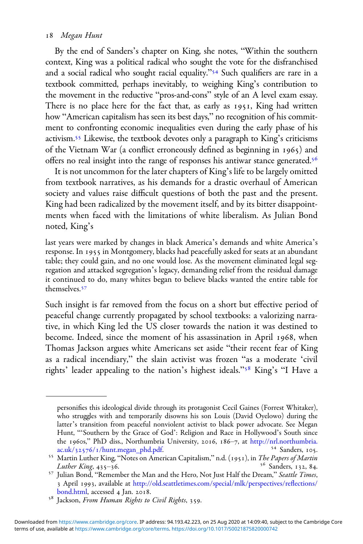#### 18 Megan Hunt

By the end of Sanders's chapter on King, she notes, "Within the southern context, King was a political radical who sought the vote for the disfranchised and a social radical who sought racial equality." <sup>54</sup> Such qualifiers are rare in a textbook committed, perhaps inevitably, to weighing King's contribution to the movement in the reductive "pros-and-cons" style of an A level exam essay. There is no place here for the fact that, as early as 1951, King had written how "American capitalism has seen its best days," no recognition of his commitment to confronting economic inequalities even during the early phase of his activism.<sup>55</sup> Likewise, the textbook devotes only a paragraph to King's criticisms of the Vietnam War (a conflict erroneously defined as beginning in 1965) and offers no real insight into the range of responses his antiwar stance generated.

It is not uncommon for the later chapters of King's life to be largely omitted from textbook narratives, as his demands for a drastic overhaul of American society and values raise difficult questions of both the past and the present. King had been radicalized by the movement itself, and by its bitter disappointments when faced with the limitations of white liberalism. As Julian Bond noted, King's

last years were marked by changes in black America's demands and white America's response. In 1955 in Montgomery, blacks had peacefully asked for seats at an abundant table; they could gain, and no one would lose. As the movement eliminated legal segregation and attacked segregation's legacy, demanding relief from the residual damage it continued to do, many whites began to believe blacks wanted the entire table for themselves.<sup>57</sup>

Such insight is far removed from the focus on a short but effective period of peaceful change currently propagated by school textbooks: a valorizing narrative, in which King led the US closer towards the nation it was destined to become. Indeed, since the moment of his assassination in April 1968, when Thomas Jackson argues white Americans set aside "their recent fear of King as a radical incendiary," the slain activist was frozen "as a moderate 'civil rights' leader appealing to the nation's highest ideals."<sup>58</sup> King's "I Have a

personifies this ideological divide through its protagonist Cecil Gaines (Forrest Whitaker), who struggles with and temporarily disowns his son Louis (David Oyelowo) during the latter's transition from peaceful nonviolent activist to black power advocate. See Megan Hunt, "'Southern by the Grace of God': Religion and Race in Hollywood's South since the 1960s," PhD diss., Northumbria University, 2016, 186–7, at [http://nrl.northumbria.](https://nrl.northumbria.ac.uk/32576/1/hunt.megan_phd.pdf)<br>ac.uk/32576/1/hunt.megan\_phd.pdf.  $^{54}$  Sanders, 105.

<sup>&</sup>lt;sup>55</sup> Martin Luther King, "Notes on American Capitalism," n.d. (1951), in *The Papers of Martin Luther King*, 435–36.

<sup>&</sup>lt;sup>57</sup> Julian Bond, "Remember the Man and the Hero, Not Just Half the Dream," Seattle Times, 3 April 1993, available at [http://old.seattletimes.com/special/mlk/perspectives/re](https://old.seattletimes.com/special/mlk/perspectives/reflections/bond.html)flections/<br>bond.html, accessed 4 Jan. 2018.

<sup>&</sup>lt;sup>58</sup> Jackson, From Human Rights to Civil Rights, 359.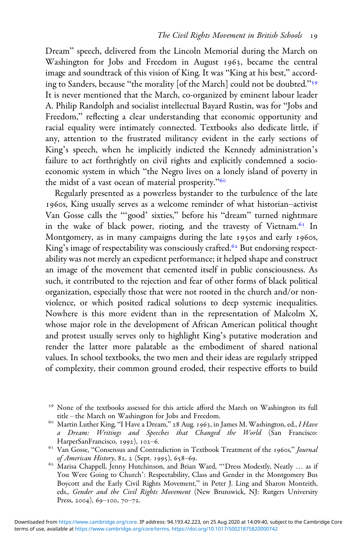Dream" speech, delivered from the Lincoln Memorial during the March on Washington for Jobs and Freedom in August 1963, became the central image and soundtrack of this vision of King. It was "King at his best," according to Sanders, because "the morality [of the March] could not be doubted."<sup>59</sup> It is never mentioned that the March, co-organized by eminent labour leader A. Philip Randolph and socialist intellectual Bayard Rustin, was for "Jobs and Freedom," reflecting a clear understanding that economic opportunity and racial equality were intimately connected. Textbooks also dedicate little, if any, attention to the frustrated militancy evident in the early sections of King's speech, when he implicitly indicted the Kennedy administration's failure to act forthrightly on civil rights and explicitly condemned a socioeconomic system in which "the Negro lives on a lonely island of poverty in the midst of a vast ocean of material prosperity."

Regularly presented as a powerless bystander to the turbulence of the late 1960s, King usually serves as a welcome reminder of what historian-activist Van Gosse calls the "'good' sixties," before his "dream" turned nightmare in the wake of black power, rioting, and the travesty of Vietnam.<sup>61</sup> In Montgomery, as in many campaigns during the late 1950s and early 1960s, King's image of respectability was consciously crafted.<sup>62</sup> But endorsing respectability was not merely an expedient performance; it helped shape and construct an image of the movement that cemented itself in public consciousness. As such, it contributed to the rejection and fear of other forms of black political organization, especially those that were not rooted in the church and/or nonviolence, or which posited radical solutions to deep systemic inequalities. Nowhere is this more evident than in the representation of Malcolm X, whose major role in the development of African American political thought and protest usually serves only to highlight King's putative moderation and render the latter more palatable as the embodiment of shared national values. In school textbooks, the two men and their ideas are regularly stripped of complexity, their common ground eroded, their respective efforts to build

<sup>&</sup>lt;sup>59</sup> None of the textbooks assessed for this article afford the March on Washington its full title – the March on Washington for Jobs and Freedom.

<sup>&</sup>lt;sup>60</sup> Martin Luther King, "I Have a Dream," 28 Aug. 1963, in James M. Washington, ed., I Have a Dream: Writings and Speeches that Changed the World (San Francisco: HarperSanFrancisco, 1992), 102–6.

<sup>&</sup>lt;sup>61</sup> Van Gosse, "Consensus and Contradiction in Textbook Treatment of the 1960s," Journal of American History, 82, 2 (Sept. 1995), 658–69.<br><sup>62</sup> Marisa Chappell, Jenny Hutchinson, and Brian Ward, "'Dress Modestly, Neatly ... as if

You Were Going to Church': Respectability, Class and Gender in the Montgomery Bus Boycott and the Early Civil Rights Movement," in Peter J. Ling and Sharon Monteith, eds., Gender and the Civil Rights Movement (New Brunswick, NJ: Rutgers University Press, 2004),  $69-100$ , 70-72.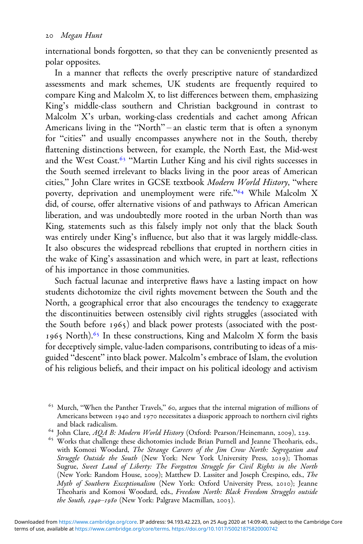international bonds forgotten, so that they can be conveniently presented as polar opposites.

In a manner that reflects the overly prescriptive nature of standardized assessments and mark schemes, UK students are frequently required to compare King and Malcolm X, to list differences between them, emphasizing King's middle-class southern and Christian background in contrast to Malcolm X's urban, working-class credentials and cachet among African Americans living in the "North" – an elastic term that is often a synonym for "cities" and usually encompasses anywhere not in the South, thereby flattening distinctions between, for example, the North East, the Mid-west and the West Coast.<sup>63</sup> "Martin Luther King and his civil rights successes in the South seemed irrelevant to blacks living in the poor areas of American cities," John Clare writes in GCSE textbook Modern World History, "where poverty, deprivation and unemployment were rife."<sup>64</sup> While Malcolm X did, of course, offer alternative visions of and pathways to African American liberation, and was undoubtedly more rooted in the urban North than was King, statements such as this falsely imply not only that the black South was entirely under King's influence, but also that it was largely middle-class. It also obscures the widespread rebellions that erupted in northern cities in the wake of King's assassination and which were, in part at least, reflections of his importance in those communities.

Such factual lacunae and interpretive flaws have a lasting impact on how students dichotomize the civil rights movement between the South and the North, a geographical error that also encourages the tendency to exaggerate the discontinuities between ostensibly civil rights struggles (associated with the South before 1965) and black power protests (associated with the post-1965 North).<sup>65</sup> In these constructions, King and Malcolm X form the basis for deceptively simple, value-laden comparisons, contributing to ideas of a misguided "descent" into black power. Malcolm's embrace of Islam, the evolution of his religious beliefs, and their impact on his political ideology and activism

 $63$  Murch, "When the Panther Travels," 60, argues that the internal migration of millions of Americans between 1940 and 1970 necessitates a diasporic approach to northern civil rights

and black radicalism.<br>
<sup>64</sup> John Clare, AQA B: Modern World History (Oxford: Pearson/Heinemann, 2009), 229.<br>
<sup>65</sup> Works that challenge these dichotomies include Brian Purnell and Jeanne Theoharis, eds., with Komozi Woodard, The Strange Careers of the Jim Crow North: Segregation and Struggle Outside the South (New York: New York University Press, 2019); Thomas Sugrue, Sweet Land of Liberty: The Forgotten Struggle for Civil Rights in the North (New York: Random House, 2009); Matthew D. Lassiter and Joseph Crespino, eds., The Myth of Southern Exceptionalism (New York: Oxford University Press, 2010); Jeanne Theoharis and Komosi Woodard, eds., Freedom North: Black Freedom Struggles outside the South,  $1940 - 1980$  (New York: Palgrave Macmillan, 2003).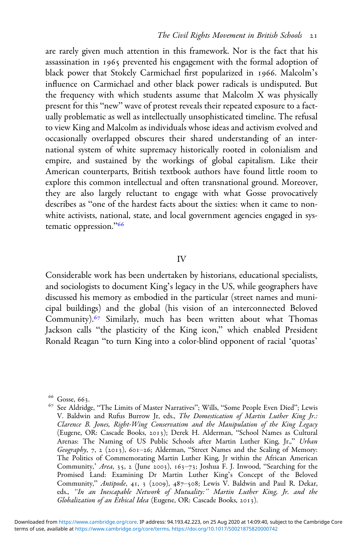are rarely given much attention in this framework. Nor is the fact that his assassination in 1965 prevented his engagement with the formal adoption of black power that Stokely Carmichael first popularized in 1966. Malcolm's influence on Carmichael and other black power radicals is undisputed. But the frequency with which students assume that Malcolm X was physically present for this "new" wave of protest reveals their repeated exposure to a factually problematic as well as intellectually unsophisticated timeline. The refusal to view King and Malcolm as individuals whose ideas and activism evolved and occasionally overlapped obscures their shared understanding of an international system of white supremacy historically rooted in colonialism and empire, and sustained by the workings of global capitalism. Like their American counterparts, British textbook authors have found little room to explore this common intellectual and often transnational ground. Moreover, they are also largely reluctant to engage with what Gosse provocatively describes as "one of the hardest facts about the sixties: when it came to nonwhite activists, national, state, and local government agencies engaged in systematic oppression."<sup>66</sup>

#### IV

Considerable work has been undertaken by historians, educational specialists, and sociologists to document King's legacy in the US, while geographers have discussed his memory as embodied in the particular (street names and municipal buildings) and the global (his vision of an interconnected Beloved Community).<sup>67</sup> Similarly, much has been written about what Thomas Jackson calls "the plasticity of the King icon," which enabled President Ronald Reagan "to turn King into a color-blind opponent of racial 'quotas'

<sup>&</sup>lt;sup>66</sup> Gosse, 663.<br><sup>67</sup> See Aldridge, "The Limits of Master Narratives"; Wills, "Some People Even Died"; Lewis V. Baldwin and Rufus Burrow Jr, eds., The Domestication of Martin Luther King Jr.: Clarence B. Jones, Right-Wing Conservatism and the Manipulation of the King Legacy (Eugene, OR: Cascade Books, 2013); Derek H. Alderman, "School Names as Cultural Arenas: The Naming of US Public Schools after Martin Luther King, Jr.," Urban Geography, 7, 2 (2013), 601-26; Alderman, "Street Names and the Scaling of Memory: The Politics of Commemorating Martin Luther King, Jr within the African American Community,' Area, 35, 2 (June 2003),  $163-73$ ; Joshua F. J. Inwood, "Searching for the Promised Land: Examining Dr Martin Luther King's Concept of the Beloved Community," Antipode, 41, 3 (2009), 487-508; Lewis V. Baldwin and Paul R. Dekar, eds., "In an Inescapable Network of Mutuality:" Martin Luther King, Jr. and the Globalization of an Ethical Idea (Eugene, OR: Cascade Books, 2013).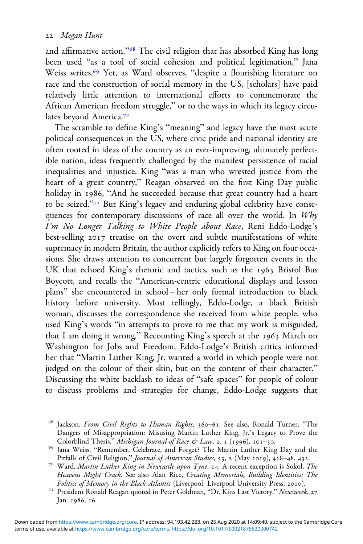and affirmative action."<sup>68</sup> The civil religion that has absorbed King has long been used "as a tool of social cohesion and political legitimation," Jana Weiss writes.<sup>69</sup> Yet, as Ward observes, "despite a flourishing literature on race and the construction of social memory in the US, [scholars] have paid relatively little attention to international efforts to commemorate the African American freedom struggle," or to the ways in which its legacy circulates beyond America.

The scramble to define King's "meaning" and legacy have the most acute political consequences in the US, where civic pride and national identity are often rooted in ideas of the country as an ever-improving, ultimately perfectible nation, ideas frequently challenged by the manifest persistence of racial inequalities and injustice. King "was a man who wrested justice from the heart of a great country," Reagan observed on the first King Day public holiday in 1986, "And he succeeded because that great country had a heart to be seized."<sup>71</sup> But King's legacy and enduring global celebrity have consequences for contemporary discussions of race all over the world. In Why I'm No Longer Talking to White People about Race, Reni Eddo-Lodge's best-selling 2017 treatise on the overt and subtle manifestations of white supremacy in modern Britain, the author explicitly refers to King on four occasions. She draws attention to concurrent but largely forgotten events in the UK that echoed King's rhetoric and tactics, such as the 1963 Bristol Bus Boycott, and recalls the "American-centric educational displays and lesson plans" she encountered in school – her only formal introduction to black history before university. Most tellingly, Eddo-Lodge, a black British woman, discusses the correspondence she received from white people, who used King's words "in attempts to prove to me that my work is misguided, that I am doing it wrong." Recounting King's speech at the 1963 March on Washington for Jobs and Freedom, Eddo-Lodge's British critics informed her that "Martin Luther King, Jr. wanted a world in which people were not judged on the colour of their skin, but on the content of their character." Discussing the white backlash to ideas of "safe spaces" for people of colour to discuss problems and strategies for change, Eddo-Lodge suggests that

 $68$  Jackson, From Civil Rights to Human Rights, 360-61. See also, Ronald Turner, "The Dangers of Misappropriation: Misusing Martin Luther King, Jr.'s Legacy to Prove the Colorblind Thesis," *Michigan Journal of Race & Law*, 2, 1 (1996), 101-30.

<sup>&</sup>lt;sup>69</sup> Jana Weiss, "Remember, Celebrate, and Forget? The Martin Luther King Day and the Pitfalls of Civil Religion," *Journal of American Studies*, 53, 2 (May 2019), 428–48, 432.

<sup>&</sup>lt;sup>70</sup> Ward, Martin Luther King in Newcastle upon Tyne, 14. A recent exception is Sokol, The Heavens Might Crack. See also Alan Rice, Creating Memorials, Building Identities: The Politics of Memory in the Black Atlantic (Liverpool: Liverpool University Press, 2010).

<sup>&</sup>lt;sup>71</sup> President Ronald Reagan quoted in Peter Goldman, "Dr. Kins Last Victory," Newsweek, 27 Jan. 1986, 16.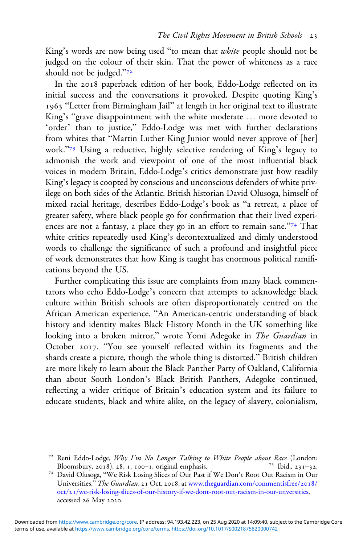King's words are now being used "to mean that *white* people should not be judged on the colour of their skin. That the power of whiteness as a race should not be judged."

In the 2018 paperback edition of her book, Eddo-Lodge reflected on its initial success and the conversations it provoked. Despite quoting King's 1963 "Letter from Birmingham Jail" at length in her original text to illustrate King's "grave disappointment with the white moderate … more devoted to 'order' than to justice," Eddo-Lodge was met with further declarations from whites that "Martin Luther King Junior would never approve of [her] work."<sup>73</sup> Using a reductive, highly selective rendering of King's legacy to admonish the work and viewpoint of one of the most influential black voices in modern Britain, Eddo-Lodge's critics demonstrate just how readily King's legacy is coopted by conscious and unconscious defenders of white privilege on both sides of the Atlantic. British historian David Olusoga, himself of mixed racial heritage, describes Eddo-Lodge's book as "a retreat, a place of greater safety, where black people go for confirmation that their lived experiences are not a fantasy, a place they go in an effort to remain sane."<sup>74</sup> That white critics repeatedly used King's decontextualized and dimly understood words to challenge the significance of such a profound and insightful piece of work demonstrates that how King is taught has enormous political ramifications beyond the US.

Further complicating this issue are complaints from many black commentators who echo Eddo-Lodge's concern that attempts to acknowledge black culture within British schools are often disproportionately centred on the African American experience. "An American-centric understanding of black history and identity makes Black History Month in the UK something like looking into a broken mirror," wrote Yomi Adegoke in The Guardian in October 2017. "You see yourself reflected within its fragments and the shards create a picture, though the whole thing is distorted." British children are more likely to learn about the Black Panther Party of Oakland, California than about South London's Black British Panthers, Adegoke continued, reflecting a wider critique of Britain's education system and its failure to educate students, black and white alike, on the legacy of slavery, colonialism,

<sup>&</sup>lt;sup>72</sup> Reni Eddo-Lodge, *Why I'm No Longer Talking to White People about Race* (London: Bloomsbury, 2018), 28, 1, 100–1, original emphasis.

<sup>&</sup>lt;sup>74</sup> David Olusoga, "We Risk Losing Slices of Our Past if We Don't Root Out Racism in Our Universities," The Guardian, 21 Oct. 2018, at [www.theguardian.com/commentisfree/](https://www.theguardian.com/commentisfree/2018/oct/21/we-risk-losing-slices-of-our-history-if-we-dont-root-out-racism-in-our-unversities)2018/ oct/[/we-risk-losing-slices-of-our-history-if-we-dont-root-out-racism-in-our-unversities](https://www.theguardian.com/commentisfree/2018/oct/21/we-risk-losing-slices-of-our-history-if-we-dont-root-out-racism-in-our-unversities), accessed 26 May 2020.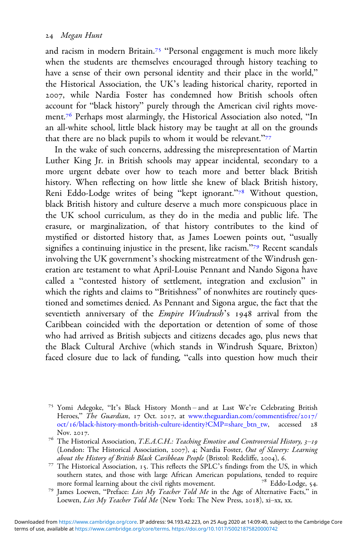and racism in modern Britain.<sup>75</sup> "Personal engagement is much more likely when the students are themselves encouraged through history teaching to have a sense of their own personal identity and their place in the world," the Historical Association, the UK's leading historical charity, reported in , while Nardia Foster has condemned how British schools often account for "black history" purely through the American civil rights movement.<sup>76</sup> Perhaps most alarmingly, the Historical Association also noted, "In an all-white school, little black history may be taught at all on the grounds that there are no black pupils to whom it would be relevant."

In the wake of such concerns, addressing the misrepresentation of Martin Luther King Jr. in British schools may appear incidental, secondary to a more urgent debate over how to teach more and better black British history. When reflecting on how little she knew of black British history, Reni Eddo-Lodge writes of being "kept ignorant."<sup>78</sup> Without question, black British history and culture deserve a much more conspicuous place in the UK school curriculum, as they do in the media and public life. The erasure, or marginalization, of that history contributes to the kind of mystified or distorted history that, as James Loewen points out, "usually signifies a continuing injustice in the present, like racism."<sup>79</sup> Recent scandals involving the UK government's shocking mistreatment of the Windrush generation are testament to what April-Louise Pennant and Nando Sigona have called a "contested history of settlement, integration and exclusion" in which the rights and claims to "Britishness" of nonwhites are routinely questioned and sometimes denied. As Pennant and Sigona argue, the fact that the seventieth anniversary of the *Empire Windrush's* 1948 arrival from the Caribbean coincided with the deportation or detention of some of those who had arrived as British subjects and citizens decades ago, plus news that the Black Cultural Archive (which stands in Windrush Square, Brixton) faced closure due to lack of funding, "calls into question how much their

<sup>&</sup>lt;sup>75</sup> Yomi Adegoke, "It's Black History Month – and at Last We're Celebrating British Heroes," The Guardian, 17 Oct. 2017, at [www.theguardian.com/commentisfree/](https://www.theguardian.com/commentisfree/2017/oct/16/black-history-month-british-culture-identity?CMP=share_btn_tw)2017/ oct/16[/black-history-month-british-culture-identity?CMP=share\\_btn\\_tw,](https://www.theguardian.com/commentisfree/2017/oct/16/black-history-month-british-culture-identity?CMP=share_btn_tw) accessed 28

Nov. 2017.<br><sup>76</sup> The Historical Association, *T.E.A.C.H.: Teaching Emotive and Controversial History, 3–19* (London: The Historical Association, 2007), 4; Nardia Foster, Out of Slavery: Learning<br>about the History of British Black Caribbean People (Bristol: Redcliffe, 2004), 6.

<sup>&</sup>lt;sup>77</sup> The Historical Association, 15. This reflects the SPLC's findings from the US, in which southern states, and those with large African American populations, tended to require more formal learning about the civil rights movement. <sup>78</sup> Eddo-Lodge, 54.

<sup>&</sup>lt;sup>79</sup> James Loewen, "Preface: Lies My Teacher Told Me in the Age of Alternative Facts," in Loewen, Lies My Teacher Told Me (New York: The New Press, 2018), xi-xx, xx.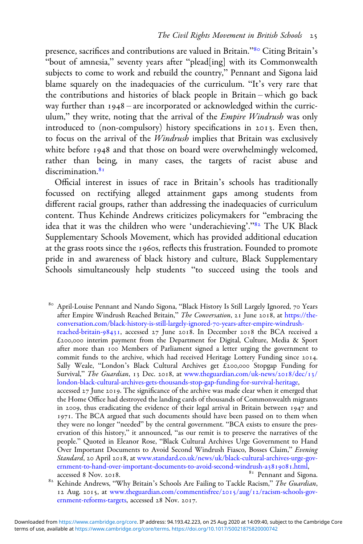presence, sacrifices and contributions are valued in Britain."<sup>80</sup> Citing Britain's "bout of amnesia," seventy years after "plead[ing] with its Commonwealth subjects to come to work and rebuild the country," Pennant and Sigona laid blame squarely on the inadequacies of the curriculum. "It's very rare that the contributions and histories of black people in Britain – which go back way further than  $1948$  – are incorporated or acknowledged within the curriculum," they write, noting that the arrival of the *Empire Windrush* was only introduced to (non-compulsory) history specifications in 2013. Even then, to focus on the arrival of the Windrush implies that Britain was exclusively white before 1948 and that those on board were overwhelmingly welcomed, rather than being, in many cases, the targets of racist abuse and discrimination.<sup>81</sup>

Official interest in issues of race in Britain's schools has traditionally focussed on rectifying alleged attainment gaps among students from different racial groups, rather than addressing the inadequacies of curriculum content. Thus Kehinde Andrews criticizes policymakers for "embracing the idea that it was the children who were 'underachieving'."<sup>82</sup> The UK Black Supplementary Schools Movement, which has provided additional education at the grass roots since the 1960s, reflects this frustration. Founded to promote pride in and awareness of black history and culture, Black Supplementary Schools simultaneously help students "to succeed using the tools and

80 April-Louise Pennant and Nando Sigona, "Black History Is Still Largely Ignored, 70 Years after Empire Windrush Reached Britain," The Conversation, 21 June 2018, at [https://the](https://theconversation.com/black-history-is-still-largely-ignored-70-years-after-empire-3windrush-reached-britain-98431)[conversation.com/black-history-is-still-largely-ignored-](https://theconversation.com/black-history-is-still-largely-ignored-70-years-after-empire-3windrush-reached-britain-98431)-years-after-empire-windrush[reached-britain-](https://theconversation.com/black-history-is-still-largely-ignored-70-years-after-empire-3windrush-reached-britain-98431)98431, accessed  $27$  June 2018. In December 2018 the BCA received a  $£200,000$  interim payment from the Department for Digital, Culture, Media & Sport after more than 100 Members of Parliament signed a letter urging the government to commit funds to the archive, which had received Heritage Lottery Funding since 2014. Sally Weale, "London's Black Cultural Archives get  $\tilde{E}$ 200,000 Stopgap Funding for Survival," The Guardian, 13 Dec. 2018, at [www.theguardian.com/uk-news/](https://www.theguardian.com/uk-news/2018/dec/13/london-black-cultural-archives-gets-thousands-stop-gap-funding-for-survival-heritage)2018/dec/13/ [london-black-cultural-archives-gets-thousands-stop-gap-funding-for-survival-heritage,](https://www.theguardian.com/uk-news/2018/dec/13/london-black-cultural-archives-gets-thousands-stop-gap-funding-for-survival-heritage) accessed  $27$  June  $2019$ . The significance of the archive was made clear when it emerged that the Home Office had destroyed the landing cards of thousands of Commonwealth migrants in 2009, thus eradicating the evidence of their legal arrival in Britain between  $1947$  and 1971. The BCA argued that such documents should have been passed on to them when they were no longer "needed" by the central government. "BCA exists to ensure the preservation of this history," it announced, "as our remit is to preserve the narratives of the people." Quoted in Eleanor Rose, "Black Cultural Archives Urge Government to Hand Over Important Documents to Avoid Second Windrush Fiasco, Bosses Claim," Evening Standard, 20 April 2018, at [www.standard.co.uk/news/uk/black-cultural-archives-urge-gov](https://www.standard.co.uk/news/uk/black-cultural-archives-urge-government-to-hand-over-important-documents-to-avoid-second-windrush-a3819081.html)[ernment-to-hand-over-important-documents-to-avoid-second-windrush-a](https://www.standard.co.uk/news/uk/black-cultural-archives-urge-government-to-hand-over-important-documents-to-avoid-second-windrush-a3819081.html)3819081.html, accessed 8 Nov. 2018.

 $82$  Kehinde Andrews, "Why Britain's Schools Are Failing to Tackle Racism," The Guardian, 12 Aug. 2015, at [www.theguardian.com/commentisfree/](https://www.theguardian.com/commentisfree/2015/aug/12/racism-schools-government-reforms-targets)2015/aug/12/racism-schools-gov[ernment-reforms-targets](https://www.theguardian.com/commentisfree/2015/aug/12/racism-schools-government-reforms-targets), accessed 28 Nov. 2017.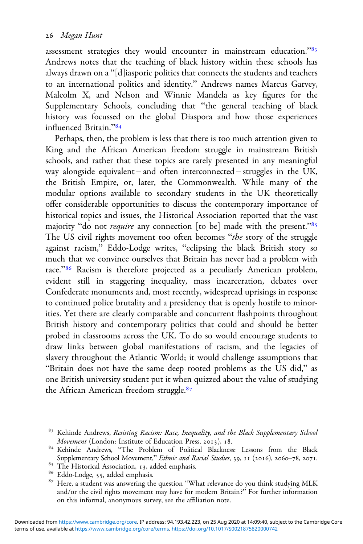assessment strategies they would encounter in mainstream education."<sup>83</sup> Andrews notes that the teaching of black history within these schools has always drawn on a "[d]iasporic politics that connects the students and teachers to an international politics and identity." Andrews names Marcus Garvey, Malcolm X, and Nelson and Winnie Mandela as key figures for the Supplementary Schools, concluding that "the general teaching of black history was focussed on the global Diaspora and how those experiences influenced Britain."

Perhaps, then, the problem is less that there is too much attention given to King and the African American freedom struggle in mainstream British schools, and rather that these topics are rarely presented in any meaningful way alongside equivalent – and often interconnected – struggles in the UK, the British Empire, or, later, the Commonwealth. While many of the modular options available to secondary students in the UK theoretically offer considerable opportunities to discuss the contemporary importance of historical topics and issues, the Historical Association reported that the vast majority "do not *require* any connection [to be] made with the present."<sup>85</sup> The US civil rights movement too often becomes "the story of the struggle against racism," Eddo-Lodge writes, "eclipsing the black British story so much that we convince ourselves that Britain has never had a problem with race."<sup>86</sup> Racism is therefore projected as a peculiarly American problem, evident still in staggering inequality, mass incarceration, debates over Confederate monuments and, most recently, widespread uprisings in response to continued police brutality and a presidency that is openly hostile to minorities. Yet there are clearly comparable and concurrent flashpoints throughout British history and contemporary politics that could and should be better probed in classrooms across the UK. To do so would encourage students to draw links between global manifestations of racism, and the legacies of slavery throughout the Atlantic World; it would challenge assumptions that "Britain does not have the same deep rooted problems as the US did," as one British university student put it when quizzed about the value of studying the African American freedom struggle.<sup>87</sup>

<sup>&</sup>lt;sup>83</sup> Kehinde Andrews, *Resisting Racism: Race, Inequality, and the Black Supplementary School Movement* (London: Institute of Education Press, 2013), 18.

<sup>84</sup> Kehinde Andrews, "The Problem of Political Blackness: Lessons from the Black

Supplementary School Movement," *Ethnic and Racial Studies*, 39, 11 (2016), 2060–78, 2071.<br>
<sup>85</sup> The Historical Association, 13, added emphasis.<br>
<sup>86</sup> Eddo-Lodge, 55, added emphasis.

<sup>&</sup>lt;sup>87</sup> Here, a student was answering the question "What relevance do you think studying MLK and/or the civil rights movement may have for modern Britain?" For further information on this informal, anonymous survey, see the affiliation note.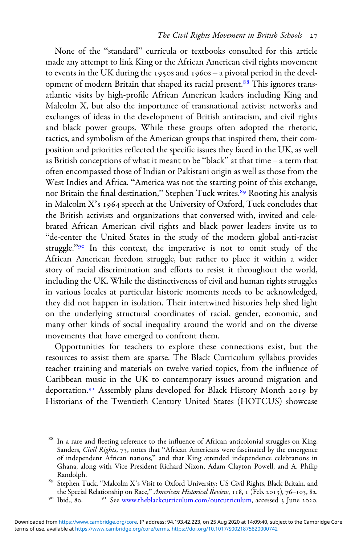None of the "standard" curricula or textbooks consulted for this article made any attempt to link King or the African American civil rights movement to events in the UK during the 1950s and 1960s – a pivotal period in the development of modern Britain that shaped its racial present.<sup>88</sup> This ignores transatlantic visits by high-profile African American leaders including King and Malcolm X, but also the importance of transnational activist networks and exchanges of ideas in the development of British antiracism, and civil rights and black power groups. While these groups often adopted the rhetoric, tactics, and symbolism of the American groups that inspired them, their composition and priorities reflected the specific issues they faced in the UK, as well as British conceptions of what it meant to be "black" at that time – a term that often encompassed those of Indian or Pakistani origin as well as those from the West Indies and Africa. "America was not the starting point of this exchange, nor Britain the final destination," Stephen Tuck writes.<sup>89</sup> Rooting his analysis in Malcolm  $X$ 's 1964 speech at the University of Oxford, Tuck concludes that the British activists and organizations that conversed with, invited and celebrated African American civil rights and black power leaders invite us to "de-center the United States in the study of the modern global anti-racist struggle."<sup>90</sup> In this context, the imperative is not to omit study of the African American freedom struggle, but rather to place it within a wider story of racial discrimination and efforts to resist it throughout the world, including the UK. While the distinctiveness of civil and human rights struggles in various locales at particular historic moments needs to be acknowledged, they did not happen in isolation. Their intertwined histories help shed light on the underlying structural coordinates of racial, gender, economic, and many other kinds of social inequality around the world and on the diverse movements that have emerged to confront them.

Opportunities for teachers to explore these connections exist, but the resources to assist them are sparse. The Black Curriculum syllabus provides teacher training and materials on twelve varied topics, from the influence of Caribbean music in the UK to contemporary issues around migration and deportation.<sup>91</sup> Assembly plans developed for Black History Month 2019 by Historians of the Twentieth Century United States (HOTCUS) showcase

<sup>&</sup>lt;sup>88</sup> In a rare and fleeting reference to the influence of African anticolonial struggles on King, Sanders, Civil Rights, 73, notes that "African Americans were fascinated by the emergence of independent African nations," and that King attended independence celebrations in Ghana, along with Vice President Richard Nixon, Adam Clayton Powell, and A. Philip Randolph.

<sup>&</sup>lt;sup>89</sup> Stephen Tuck, "Malcolm X's Visit to Oxford University: US Civil Rights, Black Britain, and the Special Relationship on Race," *American Historical Review*, 118, 1 (Feb. 2013), 76–103, 82.

 $10^{\circ}$  Ibid., 80.  $10^{\circ}$  See [www.theblackcurriculum.com/ourcurriculum,](https://www.theblackcurriculum.com/ourcurriculum) accessed 3 June 2020.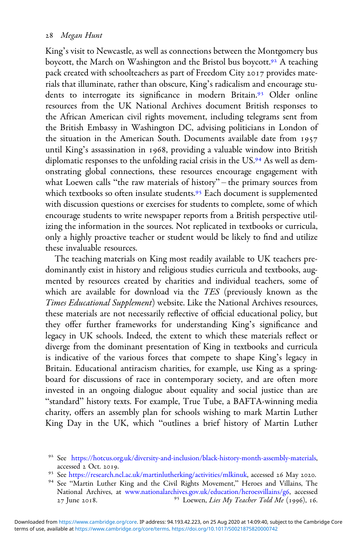King's visit to Newcastle, as well as connections between the Montgomery bus boycott, the March on Washington and the Bristol bus boycott.<sup>92</sup> A teaching pack created with schoolteachers as part of Freedom City 2017 provides materials that illuminate, rather than obscure, King's radicalism and encourage students to interrogate its significance in modern Britain.<sup>93</sup> Older online resources from the UK National Archives document British responses to the African American civil rights movement, including telegrams sent from the British Embassy in Washington DC, advising politicians in London of the situation in the American South. Documents available date from until King's assassination in 1968, providing a valuable window into British diplomatic responses to the unfolding racial crisis in the US.<sup>94</sup> As well as demonstrating global connections, these resources encourage engagement with what Loewen calls "the raw materials of history" – the primary sources from which textbooks so often insulate students.<sup>95</sup> Each document is supplemented with discussion questions or exercises for students to complete, some of which encourage students to write newspaper reports from a British perspective utilizing the information in the sources. Not replicated in textbooks or curricula, only a highly proactive teacher or student would be likely to find and utilize these invaluable resources.

The teaching materials on King most readily available to UK teachers predominantly exist in history and religious studies curricula and textbooks, augmented by resources created by charities and individual teachers, some of which are available for download via the TES (previously known as the Times Educational Supplement) website. Like the National Archives resources, these materials are not necessarily reflective of official educational policy, but they offer further frameworks for understanding King's significance and legacy in UK schools. Indeed, the extent to which these materials reflect or diverge from the dominant presentation of King in textbooks and curricula is indicative of the various forces that compete to shape King's legacy in Britain. Educational antiracism charities, for example, use King as a springboard for discussions of race in contemporary society, and are often more invested in an ongoing dialogue about equality and social justice than are "standard" history texts. For example, True Tube, a BAFTA-winning media charity, offers an assembly plan for schools wishing to mark Martin Luther King Day in the UK, which "outlines a brief history of Martin Luther

- <sup>93</sup> See <https://research.ncl.ac.uk/martinlutherking/activities/mlkinuk>, accessed 26 May 2020.<br><sup>94</sup> See "Martin Luther King and the Civil Rights Movement," Heroes and Villains, The
- National Archives, at [www.nationalarchives.gov.uk/education/heroesvillains/g](https://www.nationalarchives.gov.uk/education/heroesvillains/g6)6, accessed  $27$  June 2018.  $35$  Loewen, Lies My Teacher Told Me (1996), 16.

<sup>&</sup>lt;sup>92</sup> See <https://hotcus.org.uk/diversity-and-inclusion/black-history-month-assembly-materials>, accessed 2 Oct. 2019.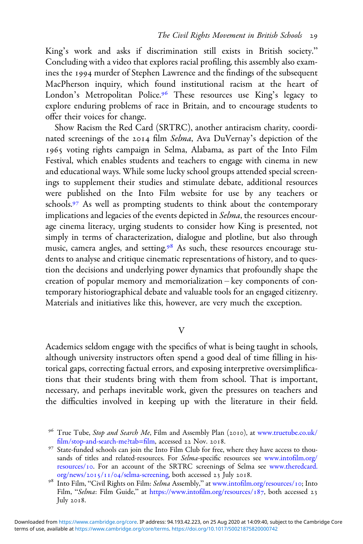King's work and asks if discrimination still exists in British society." Concluding with a video that explores racial profiling, this assembly also examines the 1994 murder of Stephen Lawrence and the findings of the subsequent MacPherson inquiry, which found institutional racism at the heart of London's Metropolitan Police.<sup>96</sup> These resources use King's legacy to explore enduring problems of race in Britain, and to encourage students to offer their voices for change.

Show Racism the Red Card (SRTRC), another antiracism charity, coordinated screenings of the 2014 film Selma, Ava DuVernay's depiction of the 1965 voting rights campaign in Selma, Alabama, as part of the Into Film Festival, which enables students and teachers to engage with cinema in new and educational ways. While some lucky school groups attended special screenings to supplement their studies and stimulate debate, additional resources were published on the Into Film website for use by any teachers or schools.<sup>97</sup> As well as prompting students to think about the contemporary implications and legacies of the events depicted in Selma, the resources encourage cinema literacy, urging students to consider how King is presented, not simply in terms of characterization, dialogue and plotline, but also through music, camera angles, and setting.<sup>98</sup> As such, these resources encourage students to analyse and critique cinematic representations of history, and to question the decisions and underlying power dynamics that profoundly shape the creation of popular memory and memorialization – key components of contemporary historiographical debate and valuable tools for an engaged citizenry. Materials and initiatives like this, however, are very much the exception.

#### $\overline{V}$

Academics seldom engage with the specifics of what is being taught in schools, although university instructors often spend a good deal of time filling in historical gaps, correcting factual errors, and exposing interpretive oversimplifications that their students bring with them from school. That is important, necessary, and perhaps inevitable work, given the pressures on teachers and the difficulties involved in keeping up with the literature in their field.

<sup>&</sup>lt;sup>96</sup> True Tube, *Stop and Search Me*, Film and Assembly Plan (2010), at [www.truetube.co.uk/](https://www.truetube.co.uk/film/stop-and-search-me?tab=film)<br>film/stop-and-search-me?tab=film, accessed 22 Nov. 2018.

<sup>&</sup>lt;sup>97</sup> State-funded schools can join the Into Film Club for free, where they have access to thousands of titles and related-resources. For Selma-specific resources see [www.into](https://www.intofilm.org/resources/10)film.org/ [resources/](https://www.intofilm.org/resources/10)10. For an account of the SRTRC screenings of Selma see [www.theredcard.](https://www.theredcard.org/news/2015/11/04/selma-screening)<br>org/news/2015/11/04/selma-screening, both accessed 23 July 2018.

<sup>&</sup>lt;sup>98</sup> Into Film, "Civil Rights on Film: Selma Assembly," at www.intofi[lm.org/resources/](https://www.intofilm.org/resources/10)10; Into Film, "Selma: Film Guide," at [https://](https://www.intofilm.org/resources/187)www.intofi[lm.org/resources/](https://www.intofilm.org/resources/187)187, both accessed 23 July  $2018$ .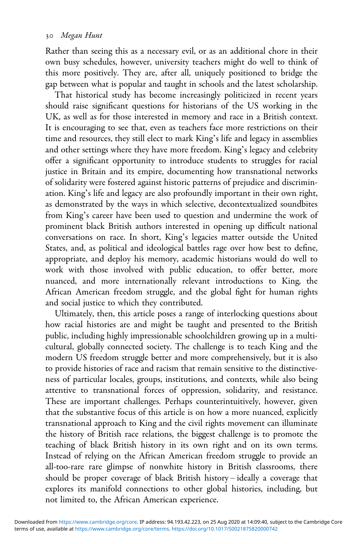Rather than seeing this as a necessary evil, or as an additional chore in their own busy schedules, however, university teachers might do well to think of this more positively. They are, after all, uniquely positioned to bridge the gap between what is popular and taught in schools and the latest scholarship.

That historical study has become increasingly politicized in recent years should raise significant questions for historians of the US working in the UK, as well as for those interested in memory and race in a British context. It is encouraging to see that, even as teachers face more restrictions on their time and resources, they still elect to mark King's life and legacy in assemblies and other settings where they have more freedom. King's legacy and celebrity offer a significant opportunity to introduce students to struggles for racial justice in Britain and its empire, documenting how transnational networks of solidarity were fostered against historic patterns of prejudice and discrimination. King's life and legacy are also profoundly important in their own right, as demonstrated by the ways in which selective, decontextualized soundbites from King's career have been used to question and undermine the work of prominent black British authors interested in opening up difficult national conversations on race. In short, King's legacies matter outside the United States, and, as political and ideological battles rage over how best to define, appropriate, and deploy his memory, academic historians would do well to work with those involved with public education, to offer better, more nuanced, and more internationally relevant introductions to King, the African American freedom struggle, and the global fight for human rights and social justice to which they contributed.

Ultimately, then, this article poses a range of interlocking questions about how racial histories are and might be taught and presented to the British public, including highly impressionable schoolchildren growing up in a multicultural, globally connected society. The challenge is to teach King and the modern US freedom struggle better and more comprehensively, but it is also to provide histories of race and racism that remain sensitive to the distinctiveness of particular locales, groups, institutions, and contexts, while also being attentive to transnational forces of oppression, solidarity, and resistance. These are important challenges. Perhaps counterintuitively, however, given that the substantive focus of this article is on how a more nuanced, explicitly transnational approach to King and the civil rights movement can illuminate the history of British race relations, the biggest challenge is to promote the teaching of black British history in its own right and on its own terms. Instead of relying on the African American freedom struggle to provide an all-too-rare rare glimpse of nonwhite history in British classrooms, there should be proper coverage of black British history – ideally a coverage that explores its manifold connections to other global histories, including, but not limited to, the African American experience.